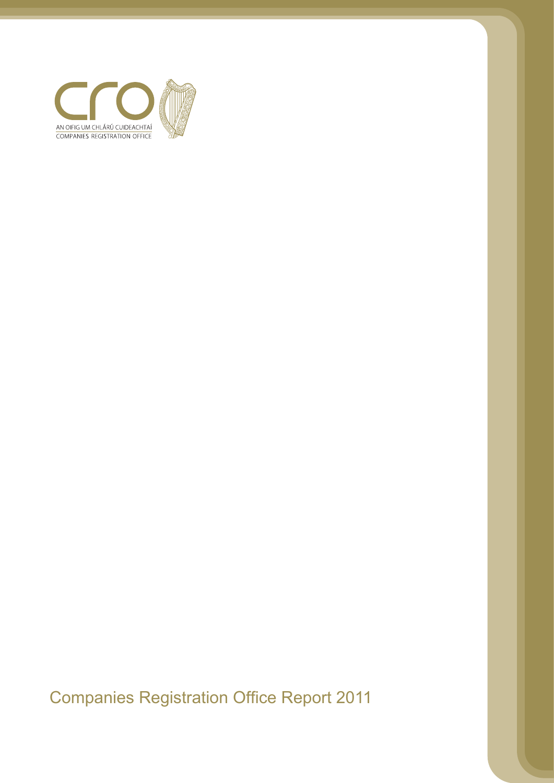

Companies Registration Office Report 2011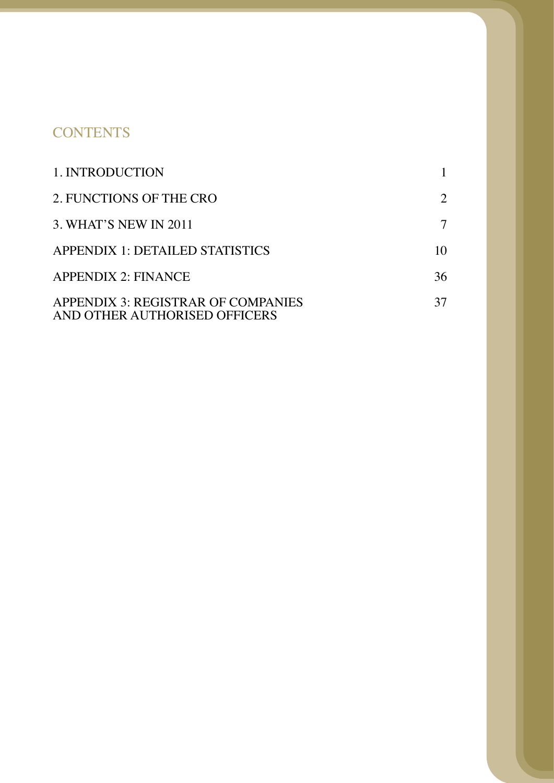# **CONTENTS**

| 1. INTRODUCTION                                                     |    |
|---------------------------------------------------------------------|----|
| 2. FUNCTIONS OF THE CRO                                             | 2  |
| 3. WHAT'S NEW IN 2011                                               |    |
| APPENDIX 1: DETAILED STATISTICS                                     | 10 |
| <b>APPENDIX 2: FINANCE</b>                                          | 36 |
| APPENDIX 3: REGISTRAR OF COMPANIES<br>AND OTHER AUTHORISED OFFICERS | 37 |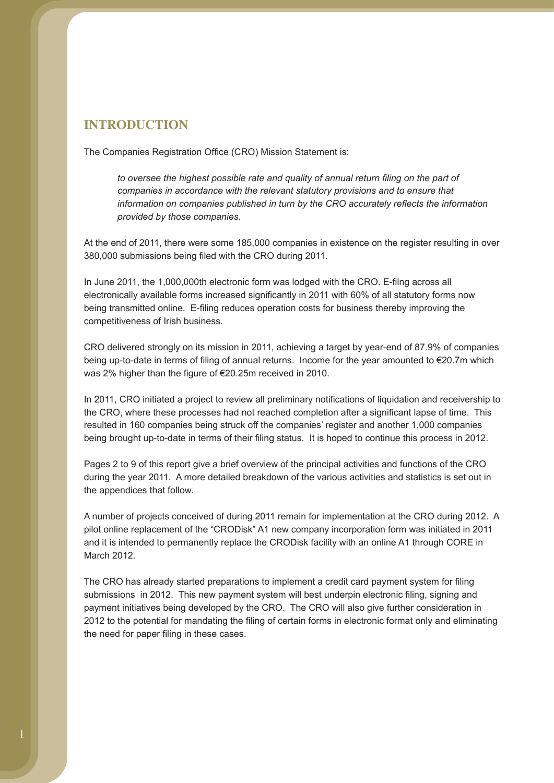## **INTRODUCTION**

The Companies Registration Office (CRO) Mission Statement is:

*to oversee the highest possible rate and quality of annual return filing on the part of companies in accordance with the relevant statutory provisions and to ensure that information on companies published in turn by the CRO accurately reflects the information provided by those companies.*

At the end of 2011, there were some 185,000 companies in existence on the register resulting in over 380,000 submissions being filed with the CRO during 2011.

In June 2011, the 1,000,000th electronic form was lodged with the CRO. E-filng across all electronically available forms increased significantly in 2011 with 60% of all statutory forms now being transmitted online. E-filing reduces operation costs for business thereby improving the competitiveness of Irish business.

CRO delivered strongly on its mission in 2011, achieving a target by year-end of 87.9% of companies being up-to-date in terms of filing of annual returns. Income for the year amounted to €20.7m which was 2% higher than the figure of €20.25m received in 2010.

In 2011, CRO initiated a project to review all preliminary notifications of liquidation and receivership to the CRO, where these processes had not reached completion after a significant lapse of time. This resulted in 160 companies being struck off the companies' register and another 1,000 companies being brought up-to-date in terms of their filing status. It is hoped to continue this process in 2012.

Pages 2 to 9 of this report give a brief overview of the principal activities and functions of the CRO during the year 2011. A more detailed breakdown of the various activities and statistics is set out in the appendices that follow.

A number of projects conceived of during 2011 remain for implementation at the CRO during 2012. A pilot online replacement of the "CRODisk" A1 new company incorporation form was initiated in 2011 and it is intended to permanently replace the CRODisk facility with an online A1 through CORE in March 2012.

The CRO has already started preparations to implement a credit card payment system for filing submissions in 2012. This new payment system will best underpin electronic filing, signing and payment initiatives being developed by the CRO. The CRO will also give further consideration in 2012 to the potential for mandating the filing of certain forms in electronic format only and eliminating the need for paper filing in these cases.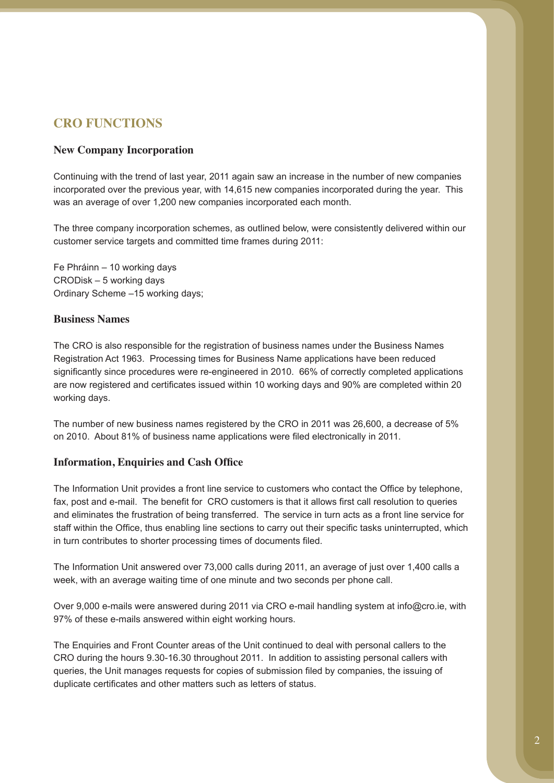## **CRO FUNCTIONS**

### **New Company Incorporation**

Continuing with the trend of last year, 2011 again saw an increase in the number of new companies incorporated over the previous year, with 14,615 new companies incorporated during the year. This was an average of over 1,200 new companies incorporated each month.

The three company incorporation schemes, as outlined below, were consistently delivered within our customer service targets and committed time frames during 2011:

Fe Phráinn – 10 working days CRODisk – 5 working days Ordinary Scheme –15 working days;

### **Business Names**

The CRO is also responsible for the registration of business names under the Business Names Registration Act 1963. Processing times for Business Name applications have been reduced significantly since procedures were re-engineered in 2010. 66% of correctly completed applications are now registered and certificates issued within 10 working days and 90% are completed within 20 working days.

The number of new business names registered by the CRO in 2011 was 26,600, a decrease of 5% on 2010. About 81% of business name applications were filed electronically in 2011.

### **Information, Enquiries and Cash Office**

The Information Unit provides a front line service to customers who contact the Office by telephone, fax, post and e-mail. The benefit for CRO customers is that it allows first call resolution to queries and eliminates the frustration of being transferred. The service in turn acts as a front line service for staff within the Office, thus enabling line sections to carry out their specific tasks uninterrupted, which in turn contributes to shorter processing times of documents filed.

The Information Unit answered over 73,000 calls during 2011, an average of just over 1,400 calls a week, with an average waiting time of one minute and two seconds per phone call.

Over 9,000 e-mails were answered during 2011 via CRO e-mail handling system at info@cro.ie, with 97% of these e-mails answered within eight working hours.

The Enquiries and Front Counter areas of the Unit continued to deal with personal callers to the CRO during the hours 9.30-16.30 throughout 2011. In addition to assisting personal callers with queries, the Unit manages requests for copies of submission filed by companies, the issuing of duplicate certificates and other matters such as letters of status.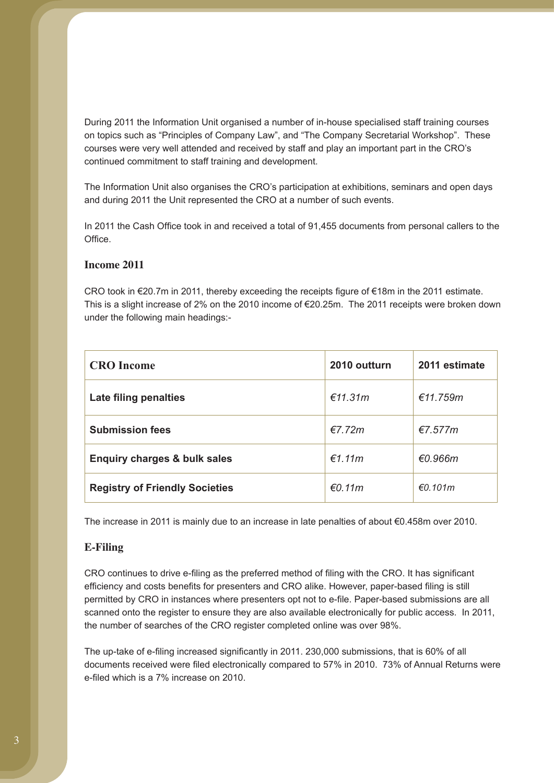During 2011 the Information Unit organised a number of in-house specialised staff training courses on topics such as "Principles of Company Law", and "The Company Secretarial Workshop". These courses were very well attended and received by staff and play an important part in the CRO's continued commitment to staff training and development.

The Information Unit also organises the CRO's participation at exhibitions, seminars and open days and during 2011 the Unit represented the CRO at a number of such events.

In 2011 the Cash Office took in and received a total of 91,455 documents from personal callers to the Office.

### **Income 2011**

CRO took in €20.7m in 2011, thereby exceeding the receipts figure of €18m in the 2011 estimate. This is a slight increase of 2% on the 2010 income of €20.25m. The 2011 receipts were broken down under the following main headings:-

| <b>CRO</b> Income                       | 2010 outturn | 2011 estimate |
|-----------------------------------------|--------------|---------------|
| Late filing penalties                   | €11.31m      | €11.759m      |
| <b>Submission fees</b>                  | $E$ 7.72m    | €7.577m       |
| <b>Enquiry charges &amp; bulk sales</b> | €1.11m       | €0.966m       |
| <b>Registry of Friendly Societies</b>   | €0.11m       | €0.101m       |

The increase in 2011 is mainly due to an increase in late penalties of about €0.458m over 2010.

#### **E-Filing**

CRO continues to drive e-filing as the preferred method of filing with the CRO. It has significant efficiency and costs benefits for presenters and CRO alike. However, paper-based filing is still permitted by CRO in instances where presenters opt not to e-file. Paper-based submissions are all scanned onto the register to ensure they are also available electronically for public access. In 2011, the number of searches of the CRO register completed online was over 98%.

The up-take of e-filing increased significantly in 2011. 230,000 submissions, that is 60% of all documents received were filed electronically compared to 57% in 2010. 73% of Annual Returns were e-filed which is a 7% increase on 2010.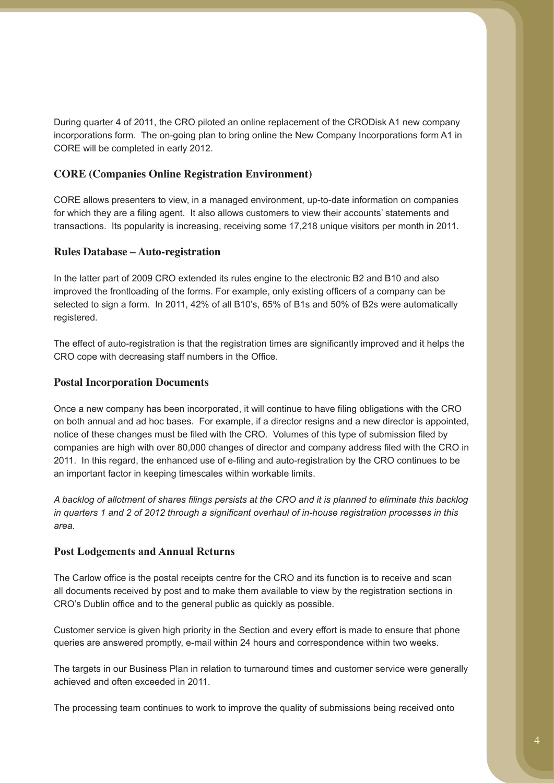During quarter 4 of 2011, the CRO piloted an online replacement of the CRODisk A1 new company incorporations form. The on-going plan to bring online the New Company Incorporations form A1 in CORE will be completed in early 2012.

### **CORE (Companies Online Registration Environment)**

CORE allows presenters to view, in a managed environment, up-to-date information on companies for which they are a filing agent. It also allows customers to view their accounts' statements and transactions. Its popularity is increasing, receiving some 17,218 unique visitors per month in 2011.

#### **Rules Database – Auto-registration**

In the latter part of 2009 CRO extended its rules engine to the electronic B2 and B10 and also improved the frontloading of the forms. For example, only existing officers of a company can be selected to sign a form. In 2011, 42% of all B10's, 65% of B1s and 50% of B2s were automatically registered.

The effect of auto-registration is that the registration times are significantly improved and it helps the CRO cope with decreasing staff numbers in the Office.

#### **Postal Incorporation Documents**

Once a new company has been incorporated, it will continue to have filing obligations with the CRO on both annual and ad hoc bases. For example, if a director resigns and a new director is appointed, notice of these changes must be filed with the CRO. Volumes of this type of submission filed by companies are high with over 80,000 changes of director and company address filed with the CRO in 2011. In this regard, the enhanced use of e-filing and auto-registration by the CRO continues to be an important factor in keeping timescales within workable limits.

*A backlog of allotment of shares filings persists at the CRO and it is planned to eliminate this backlog in quarters 1 and 2 of 2012 through a significant overhaul of in-house registration processes in this area.*

#### **Post Lodgements and Annual Returns**

The Carlow office is the postal receipts centre for the CRO and its function is to receive and scan all documents received by post and to make them available to view by the registration sections in CRO's Dublin office and to the general public as quickly as possible.

Customer service is given high priority in the Section and every effort is made to ensure that phone queries are answered promptly, e-mail within 24 hours and correspondence within two weeks.

The targets in our Business Plan in relation to turnaround times and customer service were generally achieved and often exceeded in 2011.

The processing team continues to work to improve the quality of submissions being received onto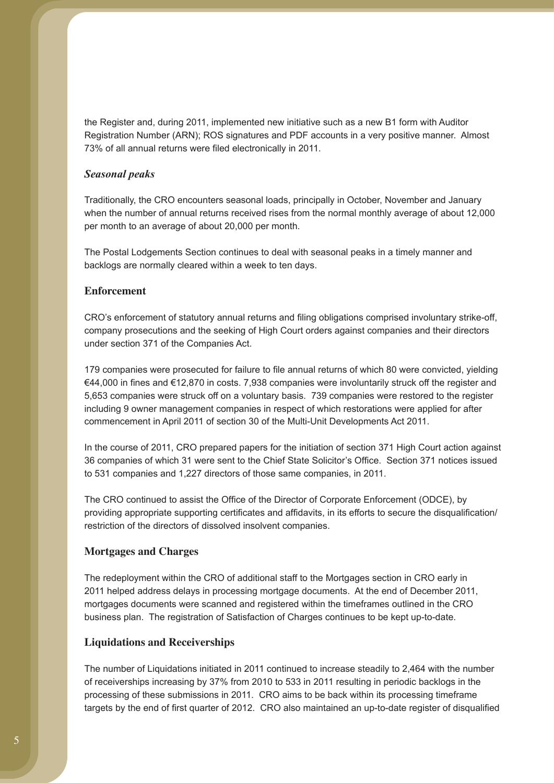the Register and, during 2011, implemented new initiative such as a new B1 form with Auditor Registration Number (ARN); ROS signatures and PDF accounts in a very positive manner. Almost 73% of all annual returns were filed electronically in 2011.

#### *Seasonal peaks*

Traditionally, the CRO encounters seasonal loads, principally in October, November and January when the number of annual returns received rises from the normal monthly average of about 12,000 per month to an average of about 20,000 per month.

The Postal Lodgements Section continues to deal with seasonal peaks in a timely manner and backlogs are normally cleared within a week to ten days.

#### **Enforcement**

CRO's enforcement of statutory annual returns and filing obligations comprised involuntary strike-off, company prosecutions and the seeking of High Court orders against companies and their directors under section 371 of the Companies Act.

179 companies were prosecuted for failure to file annual returns of which 80 were convicted, yielding €44,000 in fines and €12,870 in costs. 7,938 companies were involuntarily struck off the register and 5,653 companies were struck off on a voluntary basis. 739 companies were restored to the register including 9 owner management companies in respect of which restorations were applied for after commencement in April 2011 of section 30 of the Multi-Unit Developments Act 2011.

In the course of 2011, CRO prepared papers for the initiation of section 371 High Court action against 36 companies of which 31 were sent to the Chief State Solicitor's Office. Section 371 notices issued to 531 companies and 1,227 directors of those same companies, in 2011.

The CRO continued to assist the Office of the Director of Corporate Enforcement (ODCE), by providing appropriate supporting certificates and affidavits, in its efforts to secure the disqualification/ restriction of the directors of dissolved insolvent companies.

#### **Mortgages and Charges**

The redeployment within the CRO of additional staff to the Mortgages section in CRO early in 2011 helped address delays in processing mortgage documents. At the end of December 2011, mortgages documents were scanned and registered within the timeframes outlined in the CRO business plan. The registration of Satisfaction of Charges continues to be kept up-to-date.

#### **Liquidations and Receiverships**

The number of Liquidations initiated in 2011 continued to increase steadily to 2,464 with the number of receiverships increasing by 37% from 2010 to 533 in 2011 resulting in periodic backlogs in the processing of these submissions in 2011. CRO aims to be back within its processing timeframe targets by the end of first quarter of 2012. CRO also maintained an up-to-date register of disqualified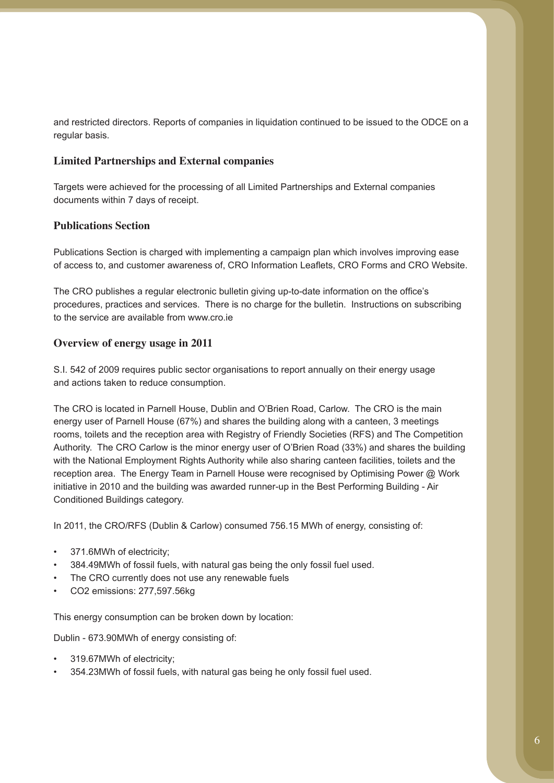and restricted directors. Reports of companies in liquidation continued to be issued to the ODCE on a regular basis.

### **Limited Partnerships and External companies**

Targets were achieved for the processing of all Limited Partnerships and External companies documents within 7 days of receipt.

### **Publications Section**

Publications Section is charged with implementing a campaign plan which involves improving ease of access to, and customer awareness of, CRO Information Leaflets, CRO Forms and CRO Website.

The CRO publishes a regular electronic bulletin giving up-to-date information on the office's procedures, practices and services. There is no charge for the bulletin. Instructions on subscribing to the service are available from www.cro.ie

### **Overview of energy usage in 2011**

S.I. 542 of 2009 requires public sector organisations to report annually on their energy usage and actions taken to reduce consumption.

The CRO is located in Parnell House, Dublin and O'Brien Road, Carlow. The CRO is the main energy user of Parnell House (67%) and shares the building along with a canteen, 3 meetings rooms, toilets and the reception area with Registry of Friendly Societies (RFS) and The Competition Authority. The CRO Carlow is the minor energy user of O'Brien Road (33%) and shares the building with the National Employment Rights Authority while also sharing canteen facilities, toilets and the reception area. The Energy Team in Parnell House were recognised by Optimising Power @ Work initiative in 2010 and the building was awarded runner-up in the Best Performing Building - Air Conditioned Buildings category.

In 2011, the CRO/RFS (Dublin & Carlow) consumed 756.15 MWh of energy, consisting of:

- 371.6MWh of electricity;
- 384.49MWh of fossil fuels, with natural gas being the only fossil fuel used.
- The CRO currently does not use any renewable fuels
- CO2 emissions: 277,597.56kg

This energy consumption can be broken down by location:

Dublin - 673.90MWh of energy consisting of:

- 319.67MWh of electricity;
- 354.23MWh of fossil fuels, with natural gas being he only fossil fuel used.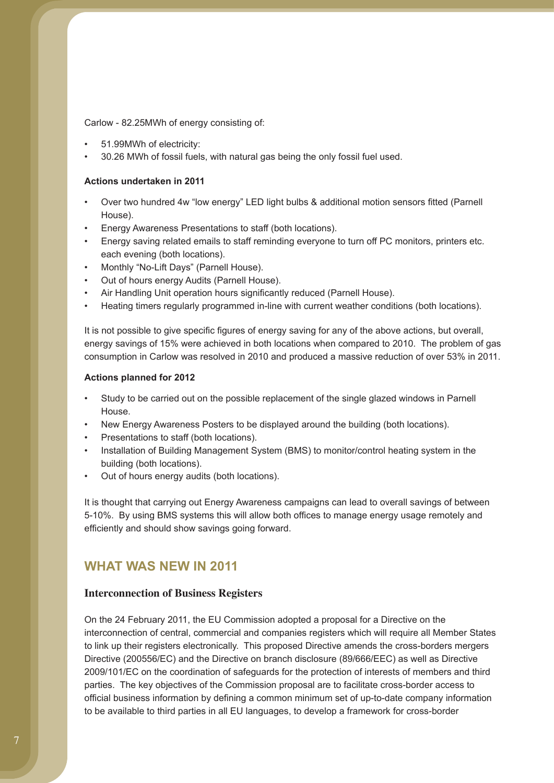Carlow - 82.25MWh of energy consisting of:

- 51.99MWh of electricity:
- 30.26 MWh of fossil fuels, with natural gas being the only fossil fuel used.

#### **Actions undertaken in 2011**

- Over two hundred 4w "low energy" LED light bulbs & additional motion sensors fitted (Parnell House).
- Energy Awareness Presentations to staff (both locations).
- Energy saving related emails to staff reminding everyone to turn off PC monitors, printers etc. each evening (both locations).
- Monthly "No-Lift Days" (Parnell House).
- Out of hours energy Audits (Parnell House).
- Air Handling Unit operation hours significantly reduced (Parnell House).
- Heating timers regularly programmed in-line with current weather conditions (both locations).

It is not possible to give specific figures of energy saving for any of the above actions, but overall, energy savings of 15% were achieved in both locations when compared to 2010. The problem of gas consumption in Carlow was resolved in 2010 and produced a massive reduction of over 53% in 2011.

#### **Actions planned for 2012**

- Study to be carried out on the possible replacement of the single glazed windows in Parnell House.
- New Energy Awareness Posters to be displayed around the building (both locations).
- Presentations to staff (both locations).
- Installation of Building Management System (BMS) to monitor/control heating system in the building (both locations).
- Out of hours energy audits (both locations).

It is thought that carrying out Energy Awareness campaigns can lead to overall savings of between 5-10%. By using BMS systems this will allow both offices to manage energy usage remotely and efficiently and should show savings going forward.

## **WHAT WAS NEW IN 2011**

#### **Interconnection of Business Registers**

On the 24 February 2011, the EU Commission adopted a proposal for a Directive on the interconnection of central, commercial and companies registers which will require all Member States to link up their registers electronically. This proposed Directive amends the cross-borders mergers Directive (200556/EC) and the Directive on branch disclosure (89/666/EEC) as well as Directive 2009/101/EC on the coordination of safeguards for the protection of interests of members and third parties. The key objectives of the Commission proposal are to facilitate cross-border access to official business information by defining a common minimum set of up-to-date company information to be available to third parties in all EU languages, to develop a framework for cross-border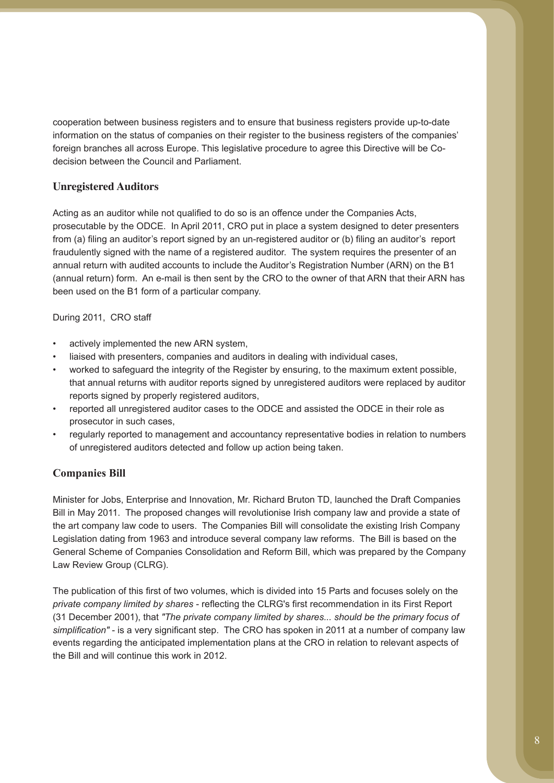cooperation between business registers and to ensure that business registers provide up-to-date information on the status of companies on their register to the business registers of the companies' foreign branches all across Europe. This legislative procedure to agree this Directive will be Codecision between the Council and Parliament.

### **Unregistered Auditors**

Acting as an auditor while not qualified to do so is an offence under the Companies Acts, prosecutable by the ODCE. In April 2011, CRO put in place a system designed to deter presenters from (a) filing an auditor's report signed by an un-registered auditor or (b) filing an auditor's report fraudulently signed with the name of a registered auditor. The system requires the presenter of an annual return with audited accounts to include the Auditor's Registration Number (ARN) on the B1 (annual return) form. An e-mail is then sent by the CRO to the owner of that ARN that their ARN has been used on the B1 form of a particular company.

### During 2011, CRO staff

- actively implemented the new ARN system.
- liaised with presenters, companies and auditors in dealing with individual cases,
- worked to safeguard the integrity of the Register by ensuring, to the maximum extent possible, that annual returns with auditor reports signed by unregistered auditors were replaced by auditor reports signed by properly registered auditors,
- reported all unregistered auditor cases to the ODCE and assisted the ODCE in their role as prosecutor in such cases,
- regularly reported to management and accountancy representative bodies in relation to numbers of unregistered auditors detected and follow up action being taken.

### **Companies Bill**

Minister for Jobs, Enterprise and Innovation, Mr. Richard Bruton TD, launched the Draft Companies Bill in May 2011. The proposed changes will revolutionise Irish company law and provide a state of the art company law code to users. The Companies Bill will consolidate the existing Irish Company Legislation dating from 1963 and introduce several company law reforms. The Bill is based on the General Scheme of Companies Consolidation and Reform Bill, which was prepared by the Company Law Review Group (CLRG).

The publication of this first of two volumes, which is divided into 15 Parts and focuses solely on the *private company limited by shares* - reflecting the CLRG's first recommendation in its First Report (31 December 2001), that *"The private company limited by shares... should be the primary focus of simplification"* - is a very significant step. The CRO has spoken in 2011 at a number of company law events regarding the anticipated implementation plans at the CRO in relation to relevant aspects of the Bill and will continue this work in 2012.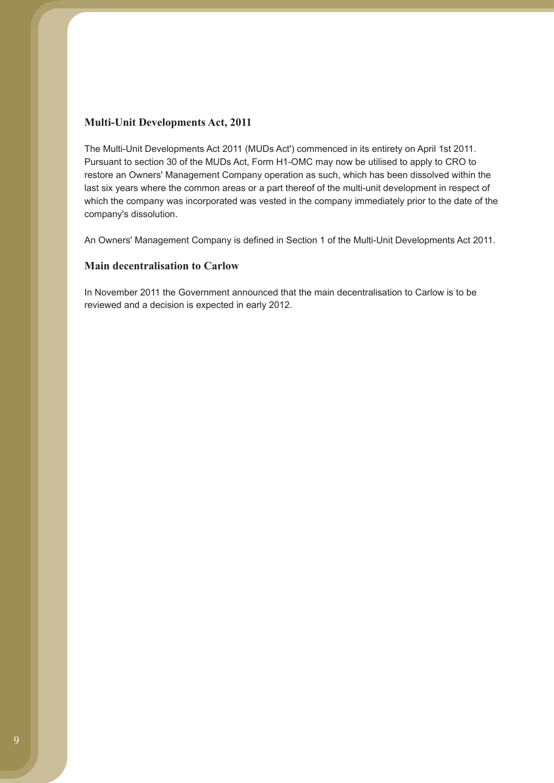#### **Multi-Unit Developments Act, 2011**

The Multi-Unit Developments Act 2011 (MUDs Act') commenced in its entirety on April 1st 2011. Pursuant to section 30 of the MUDs Act, Form H1-OMC may now be utilised to apply to CRO to restore an Owners' Management Company operation as such, which has been dissolved within the last six years where the common areas or a part thereof of the multi-unit development in respect of which the company was incorporated was vested in the company immediately prior to the date of the company's dissolution.

An Owners' Management Company is defined in Section 1 of the Multi-Unit Developments Act 2011.

### **Main decentralisation to Carlow**

In November 2011 the Government announced that the main decentralisation to Carlow is to be reviewed and a decision is expected in early 2012.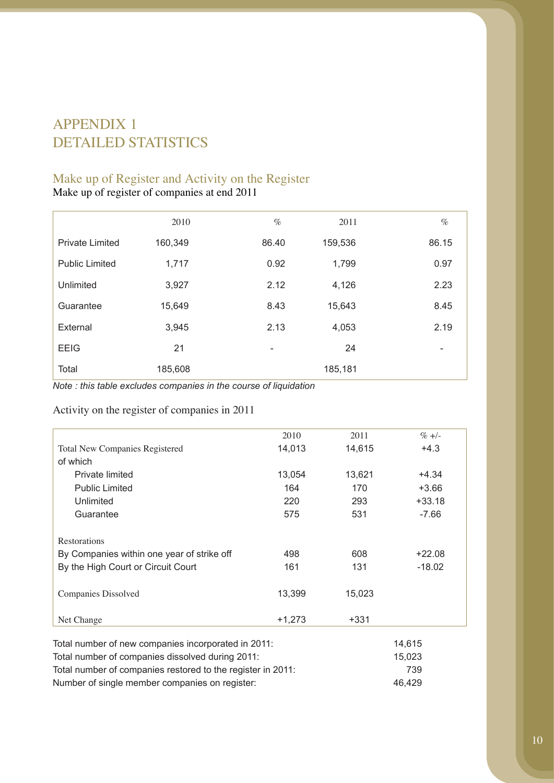# APPENDIX 1 DETAILED STATISTICS

## Make up of Register and Activity on the Register

Make up of register of companies at end 2011

|                        | 2010    | $\%$  | 2011    | $\%$  |
|------------------------|---------|-------|---------|-------|
| <b>Private Limited</b> | 160,349 | 86.40 | 159,536 | 86.15 |
| <b>Public Limited</b>  | 1,717   | 0.92  | 1,799   | 0.97  |
| Unlimited              | 3,927   | 2.12  | 4,126   | 2.23  |
| Guarantee              | 15,649  | 8.43  | 15,643  | 8.45  |
| External               | 3,945   | 2.13  | 4,053   | 2.19  |
| <b>EEIG</b>            | 21      |       | 24      | -     |
| Total                  | 185,608 |       | 185,181 |       |

*Note : this table excludes companies in the course of liquidation*

Activity on the register of companies in 2011

|                                                     | 2010     | 2011   | $% +/-$  |
|-----------------------------------------------------|----------|--------|----------|
| Total New Companies Registered                      | 14,013   | 14,615 | $+4.3$   |
| of which                                            |          |        |          |
| Private limited                                     | 13,054   | 13,621 | $+4.34$  |
| <b>Public Limited</b>                               | 164      | 170    | $+3.66$  |
| Unlimited                                           | 220      | 293    | $+33.18$ |
| Guarantee                                           | 575      | 531    | $-7.66$  |
| Restorations                                        |          |        |          |
| By Companies within one year of strike off          | 498      | 608    | $+22.08$ |
| By the High Court or Circuit Court                  | 161      | 131    | $-18.02$ |
| Companies Dissolved                                 | 13,399   | 15,023 |          |
| Net Change                                          | $+1,273$ | $+331$ |          |
| Total number of new companies incorporated in 2011: |          |        | 14,615   |

| Total number of companies dissolved during 2011:            | 15.023 |
|-------------------------------------------------------------|--------|
| Total number of companies restored to the register in 2011: | 739    |
| Number of single member companies on register:              | 46.429 |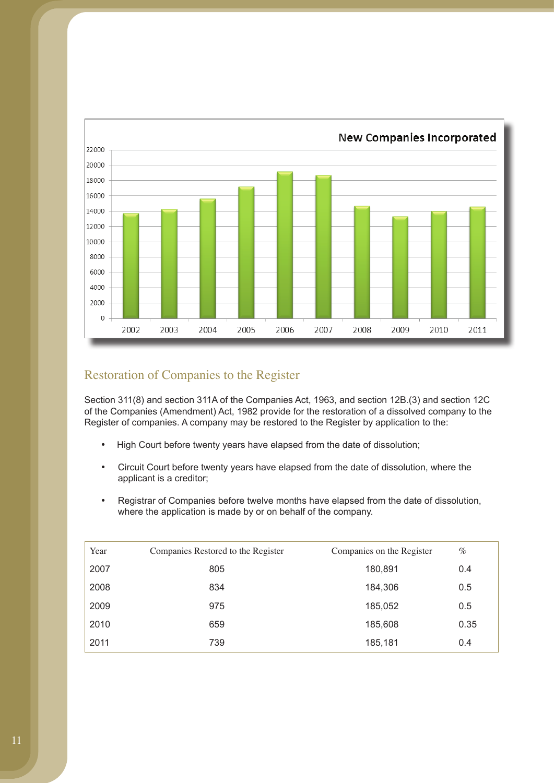

# Restoration of Companies to the Register

Section 311(8) and section 311A of the Companies Act, 1963, and section 12B.(3) and section 12C of the Companies (Amendment) Act, 1982 provide for the restoration of a dissolved company to the Register of companies. A company may be restored to the Register by application to the:

- High Court before twenty years have elapsed from the date of dissolution;
- Circuit Court before twenty years have elapsed from the date of dissolution, where the applicant is a creditor;
- Registrar of Companies before twelve months have elapsed from the date of dissolution, where the application is made by or on behalf of the company.

| Year | Companies Restored to the Register | Companies on the Register | $\%$ |
|------|------------------------------------|---------------------------|------|
| 2007 | 805                                | 180,891                   | 0.4  |
| 2008 | 834                                | 184,306                   | 0.5  |
| 2009 | 975                                | 185,052                   | 0.5  |
| 2010 | 659                                | 185,608                   | 0.35 |
| 2011 | 739                                | 185,181                   | 0.4  |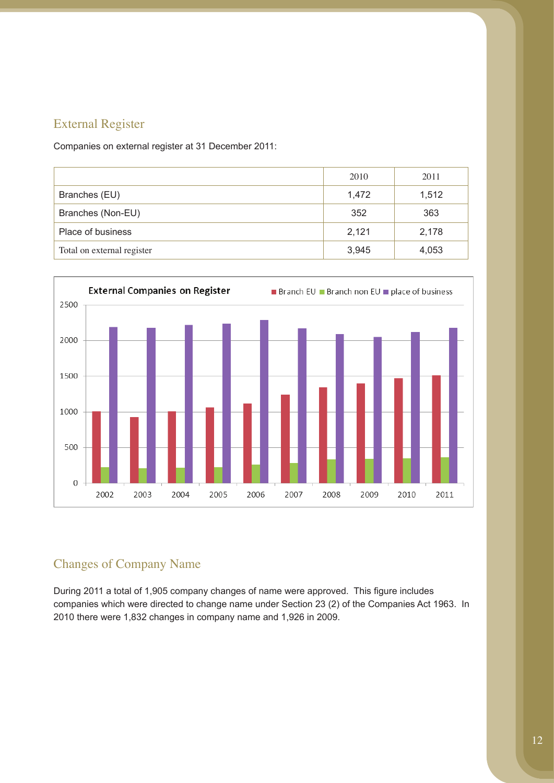# External Register

Companies on external register at 31 December 2011:

|                            | 2010  | 2011  |
|----------------------------|-------|-------|
| Branches (EU)              | 1,472 | 1,512 |
| Branches (Non-EU)          | 352   | 363   |
| Place of business          | 2,121 | 2,178 |
| Total on external register | 3,945 | 4,053 |



# Changes of Company Name

During 2011 a total of 1,905 company changes of name were approved. This figure includes companies which were directed to change name under Section 23 (2) of the Companies Act 1963. In 2010 there were 1,832 changes in company name and 1,926 in 2009.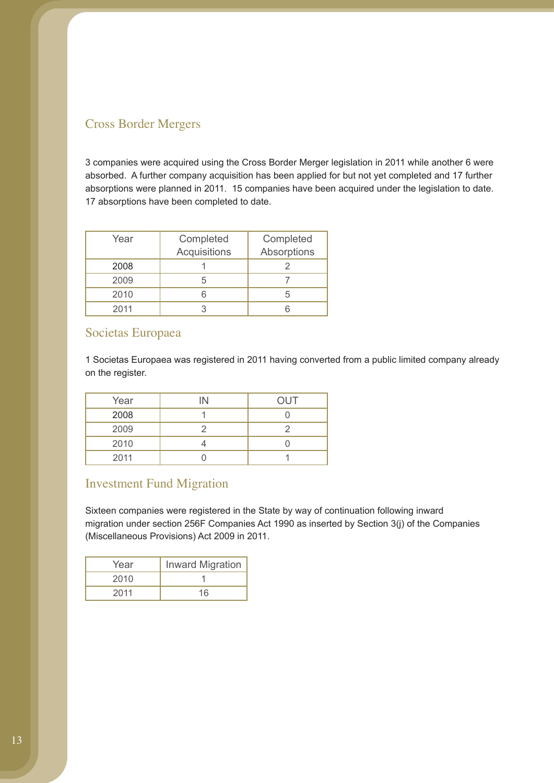# Cross Border Mergers

3 companies were acquired using the Cross Border Merger legislation in 2011 while another 6 were absorbed. A further company acquisition has been applied for but not yet completed and 17 further absorptions were planned in 2011. 15 companies have been acquired under the legislation to date. 17 absorptions have been completed to date.

| Year | Completed<br>Acquisitions | Completed<br>Absorptions |
|------|---------------------------|--------------------------|
| 2008 |                           |                          |
| 2009 |                           |                          |
| 2010 |                           |                          |
| 2011 |                           |                          |

## Societas Europaea

1 Societas Europaea was registered in 2011 having converted from a public limited company already on the register.

| Year | IN | <b>OUT</b> |
|------|----|------------|
| 2008 |    |            |
| 2009 |    |            |
| 2010 |    |            |
| 2011 |    |            |

## Investment Fund Migration

Sixteen companies were registered in the State by way of continuation following inward migration under section 256F Companies Act 1990 as inserted by Section 3(j) of the Companies (Miscellaneous Provisions) Act 2009 in 2011.

| Year | <b>Inward Migration</b> |
|------|-------------------------|
| 2010 |                         |
| 2011 | 16                      |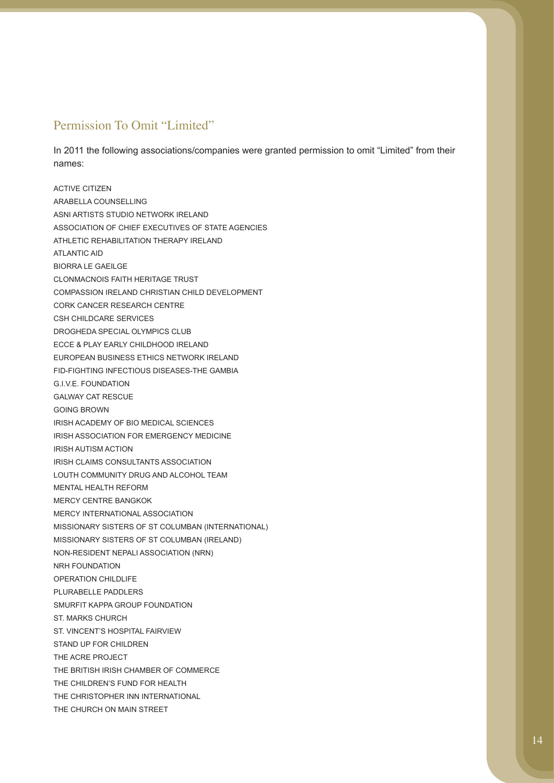## Permission To Omit "Limited"

In 2011 the following associations/companies were granted permission to omit "Limited" from their names:

ACTIVE CITIZEN ARABELLA COUNSELLING ASNI ARTISTS STUDIO NETWORK IRELAND ASSOCIATION OF CHIEF EXECUTIVES OF STATE AGENCIES ATHLETIC REHABILITATION THERAPY IRELAND ATLANTIC AID BIORRA LE GAEILGE CLONMACNOIS FAITH HERITAGE TRUST COMPASSION IRELAND CHRISTIAN CHILD DEVELOPMENT CORK CANCER RESEARCH CENTRE CSH CHILDCARE SERVICES DROGHEDA SPECIAL OLYMPICS CLUB ECCE & PLAY EARLY CHILDHOOD IRELAND EUROPEAN BUSINESS ETHICS NETWORK IRELAND FID-FIGHTING INFECTIOUS DISEASES-THE GAMBIA G.I.V.F. FOUNDATION GALWAY CAT RESCUE GOING BROWN IRISH ACADEMY OF BIO MEDICAL SCIENCES IRISH ASSOCIATION FOR EMERGENCY MEDICINE IRISH AUTISM ACTION IRISH CLAIMS CONSULTANTS ASSOCIATION LOUTH COMMUNITY DRUG AND ALCOHOL TEAM MENTAL HEALTH REFORM MERCY CENTRE BANGKOK MERCY INTERNATIONAL ASSOCIATION MISSIONARY SISTERS OF ST COLUMBAN (INTERNATIONAL) MISSIONARY SISTERS OF ST COLUMBAN (IRELAND) NON-RESIDENT NEPALI ASSOCIATION (NRN) NRH FOUNDATION OPERATION CHILDLIFE PLURABELLE PADDLERS SMURFIT KAPPA GROUP FOUNDATION ST. MARKS CHURCH ST. VINCENT'S HOSPITAL FAIRVIEW STAND UP FOR CHILDREN THE ACRE PROJECT THE BRITISH IRISH CHAMBER OF COMMERCE THE CHILDREN'S FUND FOR HEALTH THE CHRISTOPHER INN INTERNATIONAL THE CHURCH ON MAIN STREET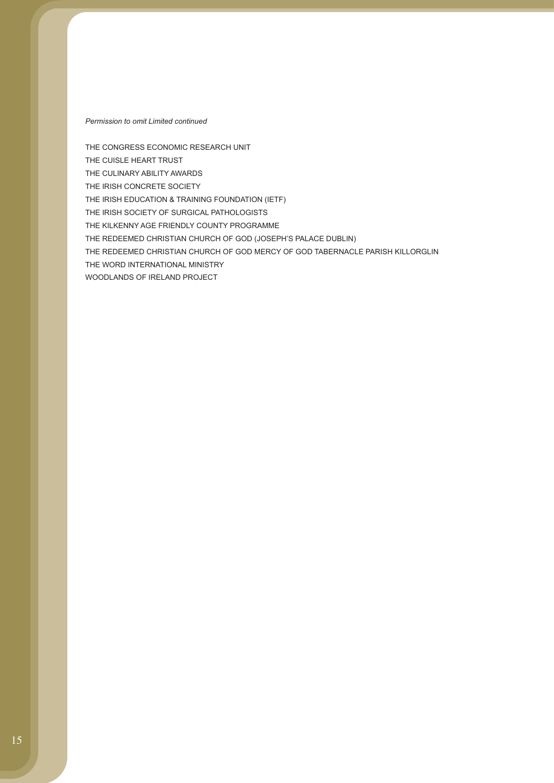#### *Permission to omit Limited continued*

THE CONGRESS ECONOMIC RESEARCH UNIT THE CUISLE HEART TRUST THE CULINARY ABILITY AWARDS THE IRISH CONCRETE SOCIETY THE IRISH EDUCATION & TRAINING FOUNDATION (IETF) THE IRISH SOCIETY OF SURGICAL PATHOLOGISTS THE KILKENNY AGE FRIENDLY COUNTY PROGRAMME THE REDEEMED CHRISTIAN CHURCH OF GOD (JOSEPH'S PALACE DUBLIN) THE REDEEMED CHRISTIAN CHURCH OF GOD MERCY OF GOD TABERNACLE PARISH KILLORGLIN THE WORD INTERNATIONAL MINISTRY WOODLANDS OF IRELAND PROJECT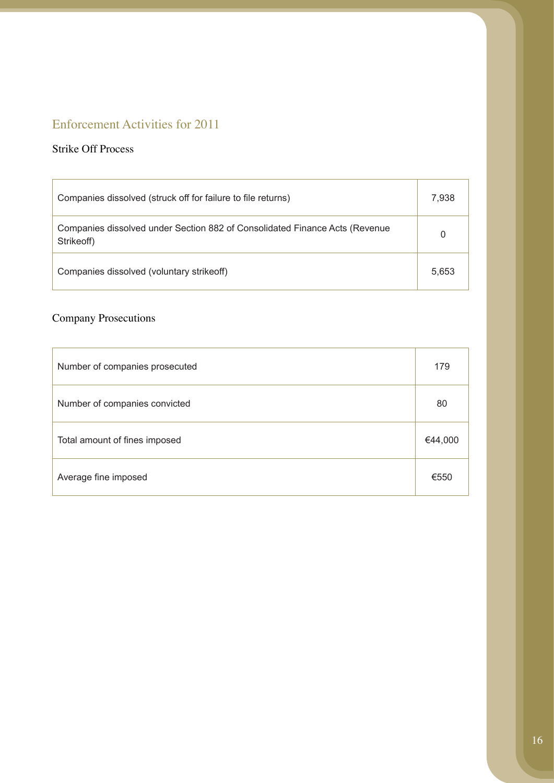# Enforcement Activities for 2011

## Strike Off Process

| Companies dissolved (struck off for failure to file returns)                              | 7,938 |
|-------------------------------------------------------------------------------------------|-------|
| Companies dissolved under Section 882 of Consolidated Finance Acts (Revenue<br>Strikeoff) | 0     |
| Companies dissolved (voluntary strike off)                                                | 5.653 |

# Company Prosecutions

| Number of companies prosecuted | 179     |
|--------------------------------|---------|
| Number of companies convicted  | 80      |
| Total amount of fines imposed  | €44,000 |
| Average fine imposed           | €550    |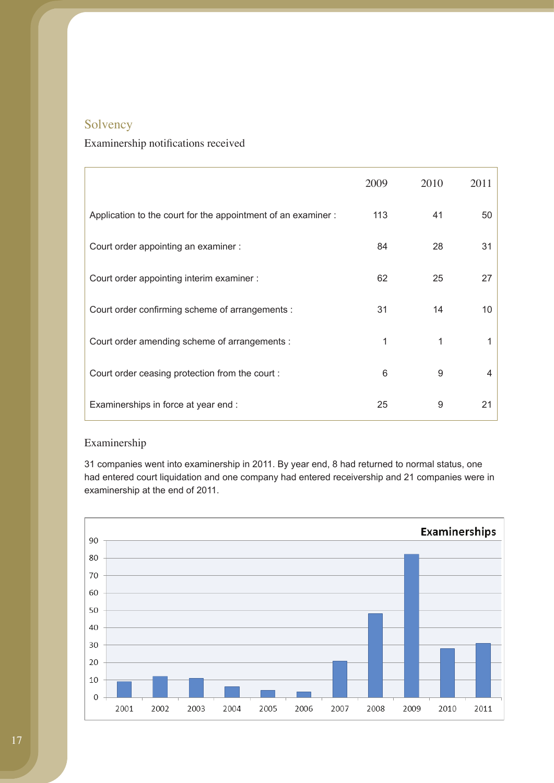# Solvency

## Examinership notifications received

|                                                               | 2009 | 2010 | 2011 |
|---------------------------------------------------------------|------|------|------|
| Application to the court for the appointment of an examiner : | 113  | 41   | 50   |
| Court order appointing an examiner :                          | 84   | 28   | 31   |
| Court order appointing interim examiner :                     | 62   | 25   | 27   |
| Court order confirming scheme of arrangements :               | 31   | 14   | 10   |
| Court order amending scheme of arrangements :                 | 1    | 1    | 1    |
| Court order ceasing protection from the court:                | 6    | 9    | 4    |
| Examinerships in force at year end :                          | 25   | 9    | 21   |

## Examinership

31 companies went into examinership in 2011. By year end, 8 had returned to normal status, one had entered court liquidation and one company had entered receivership and 21 companies were in examinership at the end of 2011.

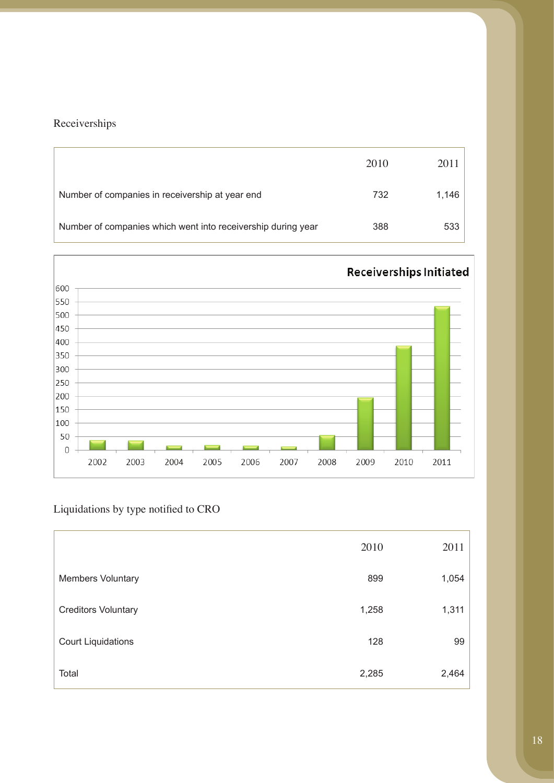# Receiverships

|                                                              | 2010 | 2011  |
|--------------------------------------------------------------|------|-------|
| Number of companies in receivership at year end              | 732  | 1,146 |
| Number of companies which went into receivership during year | 388  | 533   |



# Liquidations by type notified to CRO

|                            | 2010  | 2011  |
|----------------------------|-------|-------|
| Members Voluntary          | 899   | 1,054 |
| <b>Creditors Voluntary</b> | 1,258 | 1,311 |
| <b>Court Liquidations</b>  | 128   | 99    |
| Total                      | 2,285 | 2,464 |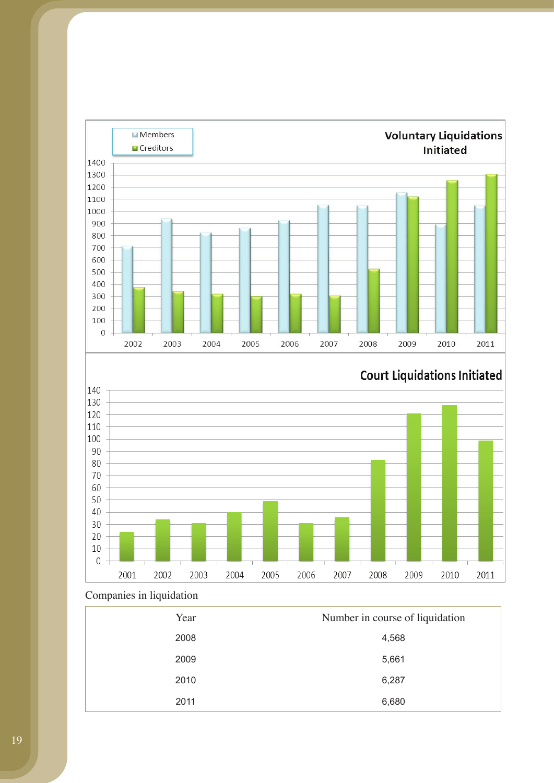

# **Court Liquidations Initiated**



## Companies in liquidation

| Year | Number in course of liquidation |
|------|---------------------------------|
| 2008 | 4,568                           |
| 2009 | 5,661                           |
| 2010 | 6,287                           |
| 2011 | 6,680                           |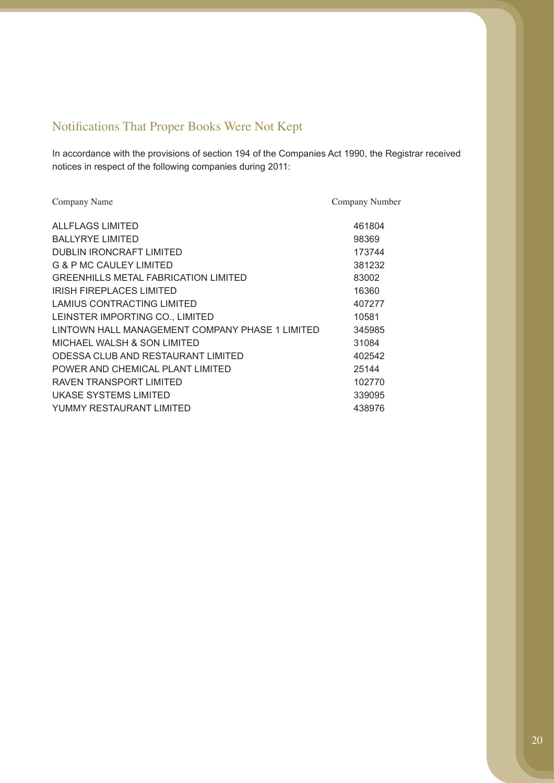# Notifications That Proper Books Were Not Kept

In accordance with the provisions of section 194 of the Companies Act 1990, the Registrar received notices in respect of the following companies during 2011:

| Company Name                                    | Company Number |
|-------------------------------------------------|----------------|
| ALL FLAGS LIMITED                               | 461804         |
| <b>BALLYRYE LIMITED</b>                         | 98369          |
| <b>DUBLIN IRONCRAFT LIMITED</b>                 | 173744         |
| <b>G &amp; P MC CAULEY LIMITED</b>              | 381232         |
| GREENHILLS METAL FABRICATION LIMITED            | 83002          |
| <b>IRISH FIREPLACES LIMITED</b>                 | 16360          |
| LAMIUS CONTRACTING LIMITED                      | 407277         |
| LEINSTER IMPORTING CO., LIMITED                 | 10581          |
| LINTOWN HALL MANAGEMENT COMPANY PHASE 1 LIMITED | 345985         |
| MICHAEL WALSH & SON LIMITED                     | 31084          |
| ODESSA CLUB AND RESTAURANT LIMITED              | 402542         |
| POWER AND CHEMICAL PLANT LIMITED                | 25144          |
| RAVEN TRANSPORT LIMITED                         | 102770         |
| UKASE SYSTEMS LIMITED                           | 339095         |
| YUMMY RESTAURANT LIMITED                        | 438976         |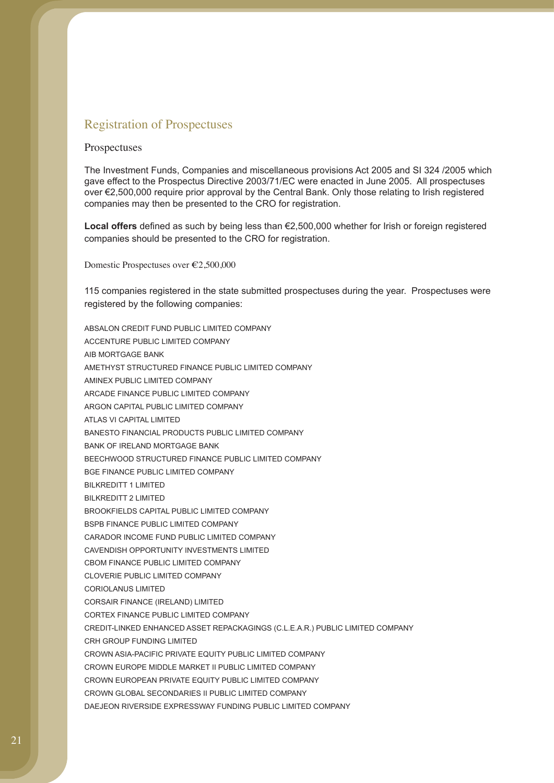## Registration of Prospectuses

#### Prospectuses

The Investment Funds, Companies and miscellaneous provisions Act 2005 and SI 324 /2005 which gave effect to the Prospectus Directive 2003/71/EC were enacted in June 2005. All prospectuses over €2,500,000 require prior approval by the Central Bank. Only those relating to Irish registered companies may then be presented to the CRO for registration.

**Local offers** defined as such by being less than €2,500,000 whether for Irish or foreign registered companies should be presented to the CRO for registration.

Domestic Prospectuses over €2,500,000

115 companies registered in the state submitted prospectuses during the year. Prospectuses were registered by the following companies:

ABSALON CREDIT FUND PUBLIC LIMITED COMPANY ACCENTURE PUBLIC LIMITED COMPANY AIB MORTGAGE BANK AMETHYST STRUCTURED FINANCE PUBLIC LIMITED COMPANY AMINEX PUBLIC LIMITED COMPANY ARCADE FINANCE PUBLIC LIMITED COMPANY ARGON CAPITAL PUBLIC LIMITED COMPANY ATLAS VI CAPITAL LIMITED BANESTO FINANCIAL PRODUCTS PUBLIC LIMITED COMPANY BANK OF IRELAND MORTGAGE BANK BEECHWOOD STRUCTURED FINANCE PUBLIC LIMITED COMPANY BGE FINANCE PUBLIC LIMITED COMPANY BILKREDITT 1 LIMITED BILKREDITT 2 LIMITED BROOKFIELDS CAPITAL PUBLIC LIMITED COMPANY BSPB FINANCE PUBLIC LIMITED COMPANY CARADOR INCOME FUND PUBLIC LIMITED COMPANY CAVENDISH OPPORTUNITY INVESTMENTS LIMITED CBOM FINANCE PUBLIC LIMITED COMPANY CLOVERIE PUBLIC LIMITED COMPANY CORIOLANUS LIMITED CORSAIR FINANCE (IRELAND) LIMITED CORTEX FINANCE PUBLIC LIMITED COMPANY CREDIT-LINKED ENHANCED ASSET REPACKAGINGS (C.L.E.A.R.) PUBLIC LIMITED COMPANY CRH GROUP FUNDING LIMITED CROWN ASIA-PACIFIC PRIVATE EQUITY PUBLIC LIMITED COMPANY CROWN EUROPE MIDDLE MARKET II PUBLIC LIMITED COMPANY CROWN EUROPEAN PRIVATE EQUITY PUBLIC LIMITED COMPANY CROWN GLOBAL SECONDARIES II PUBLIC LIMITED COMPANY DAEJEON RIVERSIDE EXPRESSWAY FUNDING PUBLIC LIMITED COMPANY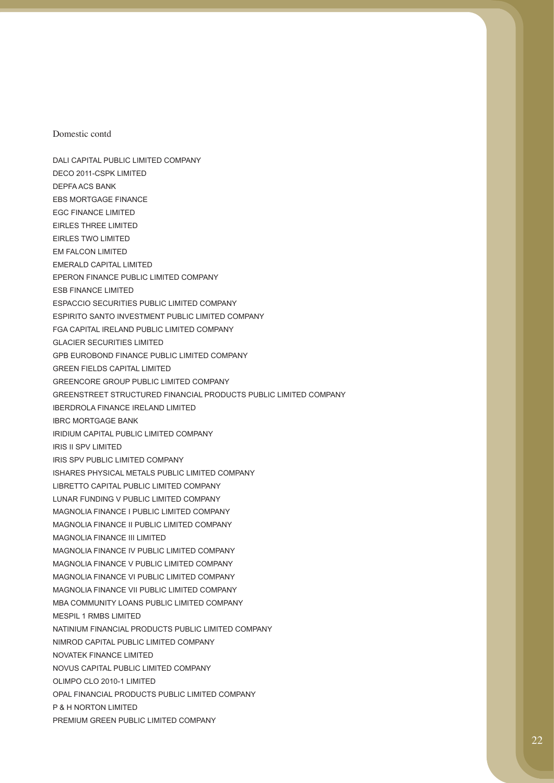Domestic contd

DALI CAPITAL PUBLIC LIMITED COMPANY DECO 2011-CSPK LIMITED DEPFA ACS BANK EBS MORTGAGE FINANCE EGC FINANCE LIMITED EIRLES THREE LIMITED EIRLES TWO LIMITED EM FALCON LIMITED EMERALD CAPITAL LIMITED EPERON FINANCE PUBLIC LIMITED COMPANY ESB FINANCE LIMITED ESPACCIO SECURITIES PUBLIC LIMITED COMPANY ESPIRITO SANTO INVESTMENT PUBLIC LIMITED COMPANY FGA CAPITAL IRELAND PUBLIC LIMITED COMPANY GLACIER SECURITIES LIMITED GPB EUROBOND FINANCE PUBLIC LIMITED COMPANY GREEN FIELDS CAPITAL LIMITED GREENCORE GROUP PUBLIC LIMITED COMPANY GREENSTREET STRUCTURED FINANCIAL PRODUCTS PUBLIC LIMITED COMPANY IBERDROLA FINANCE IRELAND LIMITED IBRC MORTGAGE BANK IRIDIUM CAPITAL PUBLIC LIMITED COMPANY IRIS II SPV LIMITED IRIS SPV PUBLIC LIMITED COMPANY ISHARES PHYSICAL METALS PUBLIC LIMITED COMPANY LIBRETTO CAPITAL PUBLIC LIMITED COMPANY LUNAR FUNDING V PUBLIC LIMITED COMPANY MAGNOLIA FINANCE I PUBLIC LIMITED COMPANY MAGNOLIA FINANCE II PUBLIC LIMITED COMPANY MAGNOLIA FINANCE III LIMITED MAGNOLIA FINANCE IV PUBLIC LIMITED COMPANY MAGNOLIA FINANCE V PUBLIC LIMITED COMPANY MAGNOLIA FINANCE VI PUBLIC LIMITED COMPANY MAGNOLIA FINANCE VII PUBLIC LIMITED COMPANY MBA COMMUNITY LOANS PUBLIC LIMITED COMPANY MESPIL 1 RMBS LIMITED NATINIUM FINANCIAL PRODUCTS PUBLIC LIMITED COMPANY NIMROD CAPITAL PUBLIC LIMITED COMPANY NOVATEK FINANCE LIMITED NOVUS CAPITAL PUBLIC LIMITED COMPANY OLIMPO CLO 2010-1 LIMITED OPAL FINANCIAL PRODUCTS PUBLIC LIMITED COMPANY P & H NORTON LIMITED PREMIUM GREEN PUBLIC LIMITED COMPANY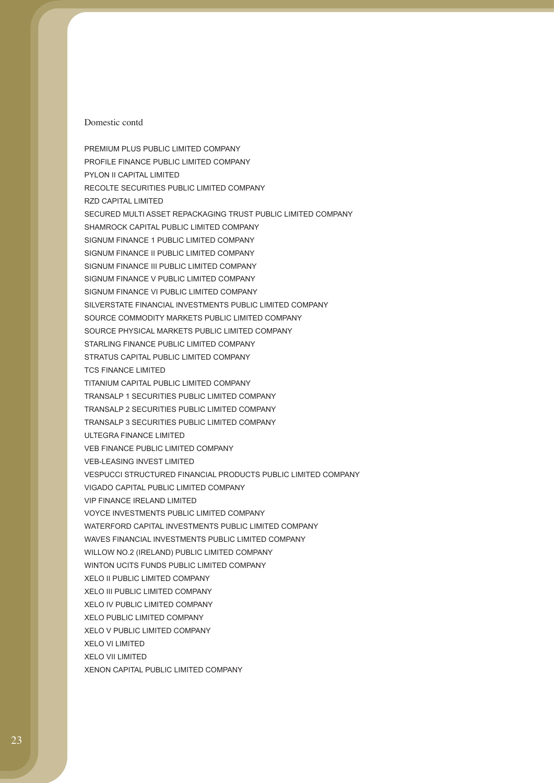#### Domestic contd

PREMIUM PLUS PUBLIC LIMITED COMPANY PROFILE FINANCE PUBLIC LIMITED COMPANY PYLON II CAPITAL LIMITED RECOLTE SECURITIES PUBLIC LIMITED COMPANY RZD CAPITAL LIMITED SECURED MULTI ASSET REPACKAGING TRUST PUBLIC LIMITED COMPANY SHAMROCK CAPITAL PUBLIC LIMITED COMPANY SIGNUM FINANCE 1 PUBLIC LIMITED COMPANY SIGNUM FINANCE II PUBLIC LIMITED COMPANY SIGNUM FINANCE III PUBLIC LIMITED COMPANY SIGNUM FINANCE V PUBLIC LIMITED COMPANY SIGNUM FINANCE VI PUBLIC LIMITED COMPANY SILVERSTATE FINANCIAL INVESTMENTS PUBLIC LIMITED COMPANY SOURCE COMMODITY MARKETS PUBLIC LIMITED COMPANY SOURCE PHYSICAL MARKETS PUBLIC LIMITED COMPANY STARLING FINANCE PUBLIC LIMITED COMPANY STRATUS CAPITAL PUBLIC LIMITED COMPANY TCS FINANCE LIMITED TITANIUM CAPITAL PUBLIC LIMITED COMPANY TRANSALP 1 SECURITIES PUBLIC LIMITED COMPANY TRANSALP 2 SECURITIES PUBLIC LIMITED COMPANY TRANSALP 3 SECURITIES PUBLIC LIMITED COMPANY ULTEGRA FINANCE LIMITED VEB FINANCE PUBLIC LIMITED COMPANY VEB-LEASING INVEST LIMITED VESPUCCI STRUCTURED FINANCIAL PRODUCTS PUBLIC LIMITED COMPANY VIGADO CAPITAL PUBLIC LIMITED COMPANY VIP FINANCE IRELAND LIMITED VOYCE INVESTMENTS PUBLIC LIMITED COMPANY WATERFORD CAPITAL INVESTMENTS PUBLIC LIMITED COMPANY WAVES FINANCIAL INVESTMENTS PUBLIC LIMITED COMPANY WILLOW NO.2 (IRELAND) PUBLIC LIMITED COMPANY WINTON UCITS FUNDS PUBLIC LIMITED COMPANY XELO II PUBLIC LIMITED COMPANY XELO III PUBLIC LIMITED COMPANY XELO IV PUBLIC LIMITED COMPANY XELO PUBLIC LIMITED COMPANY XELO V PUBLIC LIMITED COMPANY XELO VI LIMITED XELO VII LIMITED XENON CAPITAL PUBLIC LIMITED COMPANY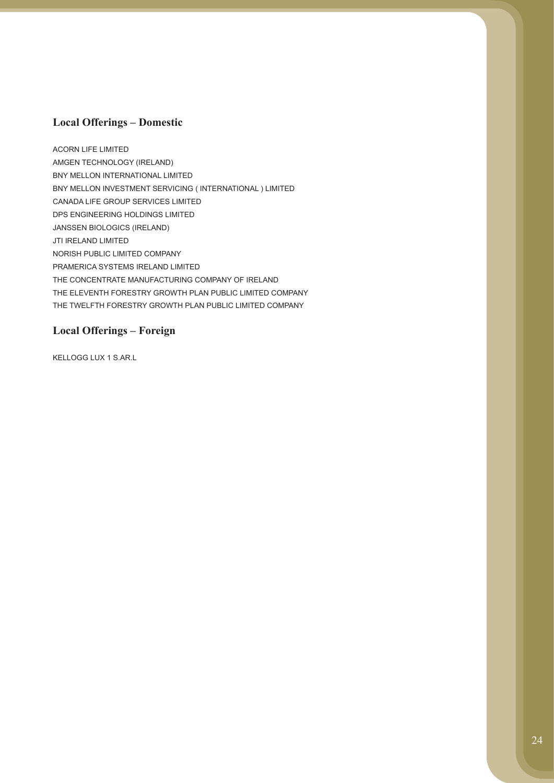### **Local Offerings – Domestic**

ACORN LIFE LIMITED AMGEN TECHNOLOGY (IRELAND) BNY MELLON INTERNATIONAL LIMITED BNY MELLON INVESTMENT SERVICING ( INTERNATIONAL ) LIMITED CANADA LIFE GROUP SERVICES LIMITED DPS ENGINEERING HOLDINGS LIMITED JANSSEN BIOLOGICS (IRELAND) JTI IRELAND LIMITED NORISH PUBLIC LIMITED COMPANY PRAMERICA SYSTEMS IRELAND LIMITED THE CONCENTRATE MANUFACTURING COMPANY OF IRELAND THE ELEVENTH FORESTRY GROWTH PLAN PUBLIC LIMITED COMPANY THE TWELFTH FORESTRY GROWTH PLAN PUBLIC LIMITED COMPANY

### **Local Offerings – Foreign**

KELLOGG LUX 1 S.AR.L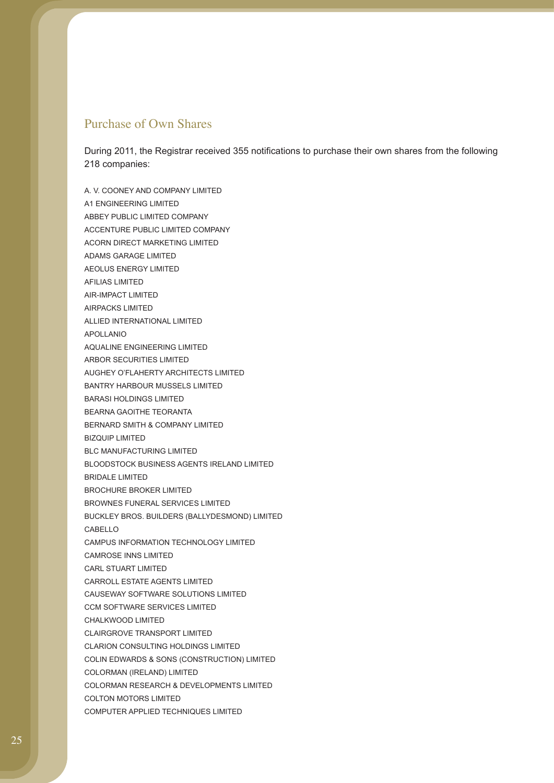### Purchase of Own Shares

During 2011, the Registrar received 355 notifications to purchase their own shares from the following 218 companies:

A. V. COONEY AND COMPANY LIMITED A1 ENGINEERING LIMITED ABBEY PUBLIC LIMITED COMPANY ACCENTURE PUBLIC LIMITED COMPANY ACORN DIRECT MARKETING LIMITED ADAMS GARAGE LIMITED AEOLUS ENERGY LIMITED AFILIAS LIMITED AIR-IMPACT LIMITED AIRPACKS LIMITED ALLIED INTERNATIONAL LIMITED APOLLANIO AQUALINE ENGINEERING LIMITED ARBOR SECURITIES LIMITED AUGHEY O'FLAHERTY ARCHITECTS LIMITED BANTRY HARBOUR MUSSELS LIMITED BARASI HOLDINGS LIMITED BEARNA GAOITHE TEORANTA BERNARD SMITH & COMPANY LIMITED BIZQUIP LIMITED BLC MANUFACTURING LIMITED BLOODSTOCK BUSINESS AGENTS IRELAND LIMITED BRIDALE LIMITED BROCHURE BROKER LIMITED BROWNES FUNERAL SERVICES LIMITED BUCKLEY BROS. BUILDERS (BALLYDESMOND) LIMITED CABELLO CAMPUS INFORMATION TECHNOLOGY LIMITED CAMROSE INNS LIMITED CARL STUART LIMITED CARROLL ESTATE AGENTS LIMITED CAUSEWAY SOFTWARE SOLUTIONS LIMITED CCM SOFTWARE SERVICES LIMITED CHALKWOOD LIMITED CLAIRGROVE TRANSPORT LIMITED CLARION CONSULTING HOLDINGS LIMITED COLIN EDWARDS & SONS (CONSTRUCTION) LIMITED COLORMAN (IRELAND) LIMITED COLORMAN RESEARCH & DEVELOPMENTS LIMITED COLTON MOTORS LIMITED COMPUTER APPLIED TECHNIQUES LIMITED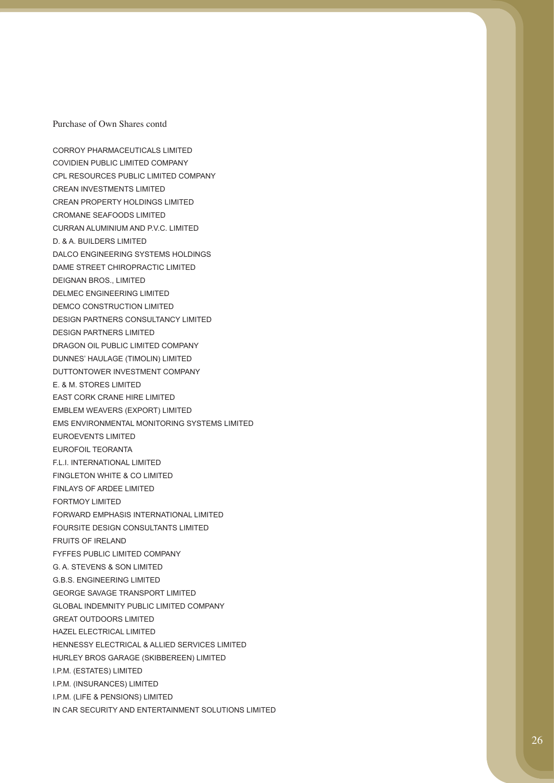CORROY PHARMACEUTICALS LIMITED COVIDIEN PUBLIC LIMITED COMPANY CPL RESOURCES PUBLIC LIMITED COMPANY CREAN INVESTMENTS LIMITED CREAN PROPERTY HOLDINGS LIMITED CROMANE SEAFOODS LIMITED CURRAN ALUMINIUM AND P.V.C. LIMITED D. & A. BUILDERS LIMITED DALCO ENGINEERING SYSTEMS HOLDINGS DAME STREET CHIROPRACTIC LIMITED DEIGNAN BROS., LIMITED DELMEC ENGINEERING LIMITED DEMCO CONSTRUCTION LIMITED DESIGN PARTNERS CONSULTANCY LIMITED DESIGN PARTNERS LIMITED DRAGON OIL PUBLIC LIMITED COMPANY DUNNES' HAULAGE (TIMOLIN) LIMITED DUTTONTOWER INVESTMENT COMPANY E. & M. STORES LIMITED EAST CORK CRANE HIRE LIMITED EMBLEM WEAVERS (EXPORT) LIMITED EMS ENVIRONMENTAL MONITORING SYSTEMS LIMITED EUROEVENTS LIMITED EUROFOIL TEORANTA F.L.I. INTERNATIONAL LIMITED FINGLETON WHITE & CO LIMITED FINLAYS OF ARDEE LIMITED FORTMOY LIMITED FORWARD EMPHASIS INTERNATIONAL LIMITED FOURSITE DESIGN CONSULTANTS LIMITED FRUITS OF IRELAND FYFFES PUBLIC LIMITED COMPANY G. A. STEVENS & SON LIMITED G.B.S. ENGINEERING LIMITED GEORGE SAVAGE TRANSPORT LIMITED GLOBAL INDEMNITY PUBLIC LIMITED COMPANY GREAT OUTDOORS LIMITED HAZEL ELECTRICAL LIMITED HENNESSY ELECTRICAL & ALLIED SERVICES LIMITED HURLEY BROS GARAGE (SKIBBEREEN) LIMITED I.P.M. (ESTATES) LIMITED I.P.M. (INSURANCES) LIMITED I.P.M. (LIFE & PENSIONS) LIMITED IN CAR SECURITY AND ENTERTAINMENT SOLUTIONS LIMITED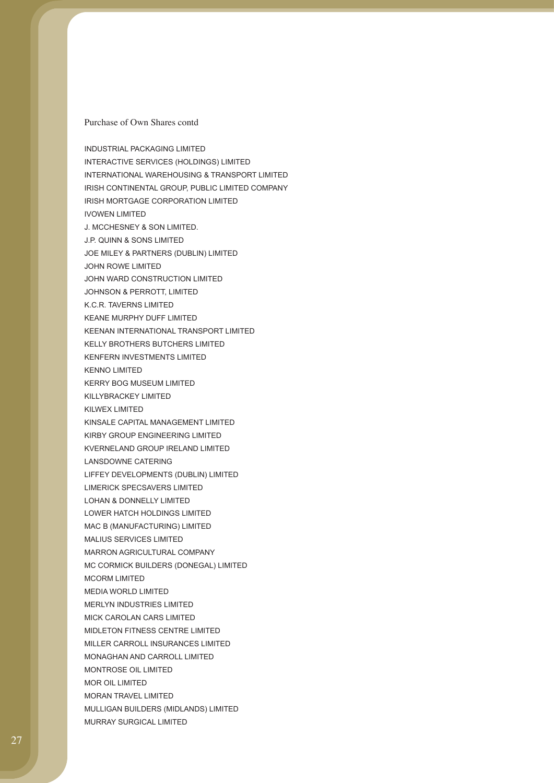INDUSTRIAL PACKAGING LIMITED INTERACTIVE SERVICES (HOLDINGS) LIMITED INTERNATIONAL WAREHOUSING & TRANSPORT LIMITED IRISH CONTINENTAL GROUP, PUBLIC LIMITED COMPANY IRISH MORTGAGE CORPORATION LIMITED IVOWEN LIMITED J. MCCHESNEY & SON LIMITED. J.P. QUINN & SONS LIMITED JOE MILEY & PARTNERS (DUBLIN) LIMITED JOHN ROWE LIMITED JOHN WARD CONSTRUCTION LIMITED JOHNSON & PERROTT, LIMITED K.C.R. TAVERNS LIMITED KEANE MURPHY DUFF LIMITED KEENAN INTERNATIONAL TRANSPORT LIMITED KELLY BROTHERS BUTCHERS LIMITED KENFERN INVESTMENTS LIMITED KENNO LIMITED KERRY BOG MUSEUM LIMITED KILLYBRACKEY LIMITED KILWEX LIMITED KINSALE CAPITAL MANAGEMENT LIMITED KIRBY GROUP ENGINEERING LIMITED KVERNELAND GROUP IRELAND LIMITED LANSDOWNE CATERING LIFFEY DEVELOPMENTS (DUBLIN) LIMITED LIMERICK SPECSAVERS LIMITED LOHAN & DONNELLY LIMITED LOWER HATCH HOLDINGS LIMITED MAC B (MANUFACTURING) LIMITED MALIUS SERVICES LIMITED MARRON AGRICULTURAL COMPANY MC CORMICK BUILDERS (DONEGAL) LIMITED MCORM LIMITED MEDIA WORLD LIMITED MERLYN INDUSTRIES LIMITED MICK CAROLAN CARS LIMITED MIDLETON FITNESS CENTRE LIMITED MILLER CARROLL INSURANCES LIMITED MONAGHAN AND CARROLL LIMITED MONTROSE OIL LIMITED MOR OIL LIMITED MORAN TRAVEL LIMITED MULLIGAN BUILDERS (MIDLANDS) LIMITED MURRAY SURGICAL LIMITED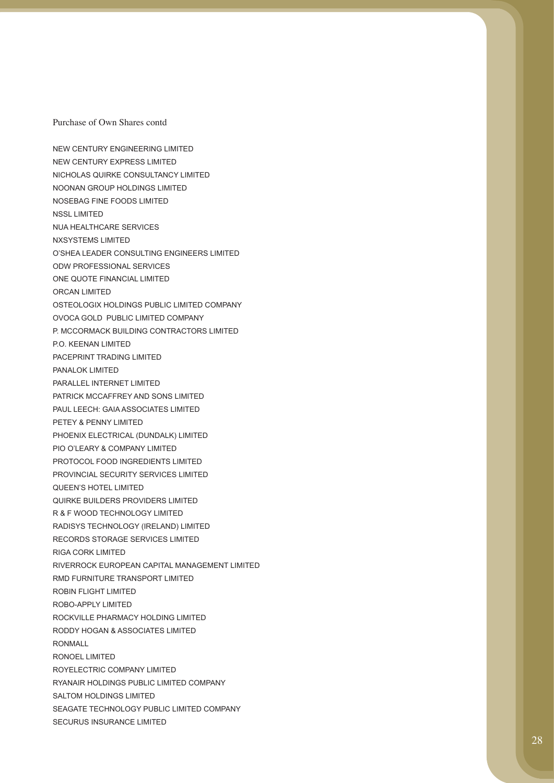NEW CENTURY ENGINEERING LIMITED NEW CENTURY EXPRESS LIMITED NICHOLAS QUIRKE CONSULTANCY LIMITED NOONAN GROUP HOLDINGS LIMITED NOSEBAG FINE FOODS LIMITED NSSL LIMITED NUA HEALTHCARE SERVICES NXSYSTEMS LIMITED O'SHEA LEADER CONSULTING ENGINEERS LIMITED ODW PROFESSIONAL SERVICES ONE QUOTE FINANCIAL LIMITED ORCAN LIMITED OSTEOLOGIX HOLDINGS PUBLIC LIMITED COMPANY OVOCA GOLD PUBLIC LIMITED COMPANY P. MCCORMACK BUILDING CONTRACTORS LIMITED P.O. KEENAN LIMITED PACEPRINT TRADING LIMITED PANALOK LIMITED PARALLEL INTERNET LIMITED PATRICK MCCAFFREY AND SONS LIMITED PAUL LEECH: GAIA ASSOCIATES LIMITED PETEY & PENNY LIMITED PHOENIX ELECTRICAL (DUNDALK) LIMITED PIO O'LEARY & COMPANY LIMITED PROTOCOL FOOD INGREDIENTS LIMITED PROVINCIAL SECURITY SERVICES LIMITED QUEEN'S HOTEL LIMITED QUIRKE BUILDERS PROVIDERS LIMITED R & F WOOD TECHNOLOGY LIMITED RADISYS TECHNOLOGY (IRELAND) LIMITED RECORDS STORAGE SERVICES LIMITED RIGA CORK LIMITED RIVERROCK EUROPEAN CAPITAL MANAGEMENT LIMITED RMD FURNITURE TRANSPORT LIMITED ROBIN FLIGHT LIMITED ROBO-APPLY LIMITED ROCKVILLE PHARMACY HOLDING LIMITED RODDY HOGAN & ASSOCIATES LIMITED RONMALL RONOEL LIMITED ROYELECTRIC COMPANY LIMITED RYANAIR HOLDINGS PUBLIC LIMITED COMPANY SALTOM HOLDINGS LIMITED SEAGATE TECHNOLOGY PUBLIC LIMITED COMPANY SECURUS INSURANCE LIMITED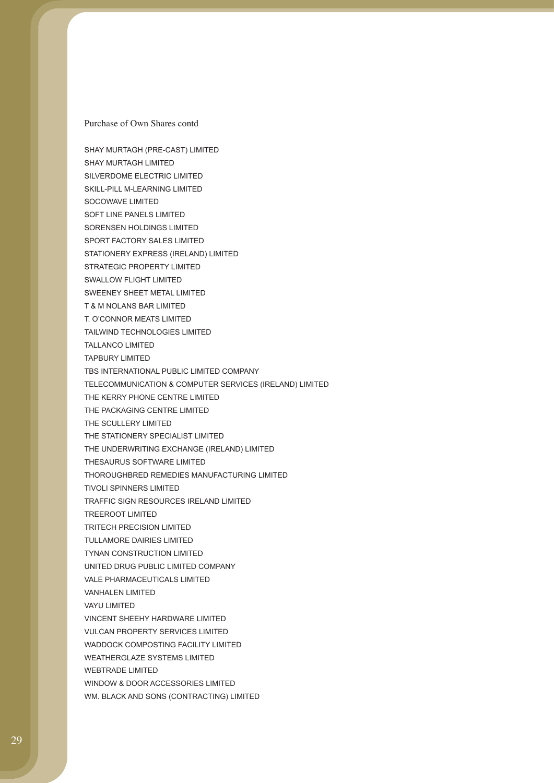SHAY MURTAGH (PRE-CAST) LIMITED SHAY MURTAGH LIMITED SILVERDOME ELECTRIC LIMITED SKILL-PILL M-LEARNING LIMITED SOCOWAVE LIMITED SOFT LINE PANELS LIMITED SORENSEN HOLDINGS LIMITED SPORT FACTORY SALES LIMITED STATIONERY EXPRESS (IRELAND) LIMITED STRATEGIC PROPERTY LIMITED SWALLOW FLIGHT LIMITED SWEENEY SHEET METAL LIMITED T & M NOLANS BAR LIMITED T. O'CONNOR MEATS LIMITED TAILWIND TECHNOLOGIES LIMITED TALLANCO LIMITED TAPBURY LIMITED TBS INTERNATIONAL PUBLIC LIMITED COMPANY TELECOMMUNICATION & COMPUTER SERVICES (IRELAND) LIMITED THE KERRY PHONE CENTRE LIMITED THE PACKAGING CENTRE LIMITED THE SCULLERY LIMITED THE STATIONERY SPECIALIST LIMITED THE UNDERWRITING EXCHANGE (IRELAND) LIMITED THESAURUS SOFTWARE LIMITED THOROUGHBRED REMEDIES MANUFACTURING LIMITED TIVOLI SPINNERS LIMITED TRAFFIC SIGN RESOURCES IRELAND LIMITED TREEROOT LIMITED TRITECH PRECISION LIMITED TULLAMORE DAIRIES LIMITED TYNAN CONSTRUCTION LIMITED UNITED DRUG PUBLIC LIMITED COMPANY VALE PHARMACEUTICALS LIMITED VANHALEN LIMITED VAYU LIMITED VINCENT SHEEHY HARDWARE LIMITED VULCAN PROPERTY SERVICES LIMITED WADDOCK COMPOSTING FACILITY LIMITED WEATHERGLAZE SYSTEMS LIMITED WEBTRADE LIMITED WINDOW & DOOR ACCESSORIES LIMITED WM. BLACK AND SONS (CONTRACTING) LIMITED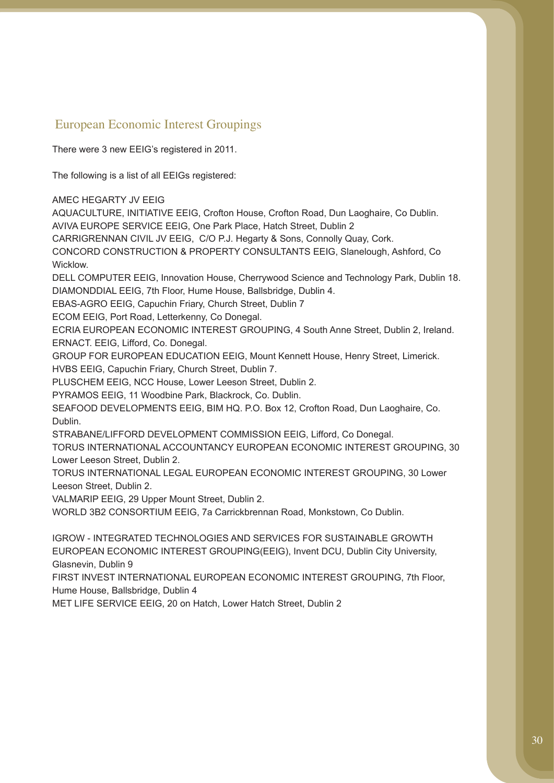# European Economic Interest Groupings

There were 3 new EEIG's registered in 2011.

The following is a list of all EEIGs registered:

AMEC HEGARTY JV EEIG

AQUACULTURE, INITIATIVE EEIG, Crofton House, Crofton Road, Dun Laoghaire, Co Dublin. AVIVA EUROPE SERVICE EEIG, One Park Place, Hatch Street, Dublin 2

CARRIGRENNAN CIVIL JV EEIG, C/O P.J. Hegarty & Sons, Connolly Quay, Cork.

CONCORD CONSTRUCTION & PROPERTY CONSULTANTS EEIG, Slanelough, Ashford, Co Wicklow.

DELL COMPUTER EEIG, Innovation House, Cherrywood Science and Technology Park, Dublin 18. DIAMONDDIAL EEIG, 7th Floor, Hume House, Ballsbridge, Dublin 4.

EBAS-AGRO EEIG, Capuchin Friary, Church Street, Dublin 7

ECOM EEIG, Port Road, Letterkenny, Co Donegal.

ECRIA EUROPEAN ECONOMIC INTEREST GROUPING, 4 South Anne Street, Dublin 2, Ireland. ERNACT. EEIG, Lifford, Co. Donegal.

GROUP FOR EUROPEAN EDUCATION EEIG, Mount Kennett House, Henry Street, Limerick.

HVBS EEIG, Capuchin Friary, Church Street, Dublin 7.

PLUSCHEM EEIG, NCC House, Lower Leeson Street, Dublin 2.

PYRAMOS EEIG, 11 Woodbine Park, Blackrock, Co. Dublin.

SEAFOOD DEVELOPMENTS EEIG, BIM HQ. P.O. Box 12, Crofton Road, Dun Laoghaire, Co. Dublin.

STRABANE/LIFFORD DEVELOPMENT COMMISSION EEIG, Lifford, Co Donegal.

TORUS INTERNATIONAL ACCOUNTANCY EUROPEAN ECONOMIC INTEREST GROUPING, 30 Lower Leeson Street, Dublin 2.

TORUS INTERNATIONAL LEGAL EUROPEAN ECONOMIC INTEREST GROUPING, 30 Lower Leeson Street, Dublin 2.

VALMARIP EEIG, 29 Upper Mount Street, Dublin 2.

WORLD 3B2 CONSORTIUM EEIG, 7a Carrickbrennan Road, Monkstown, Co Dublin.

IGROW - INTEGRATED TECHNOLOGIES AND SERVICES FOR SUSTAINABLE GROWTH EUROPEAN ECONOMIC INTEREST GROUPING(EEIG), Invent DCU, Dublin City University, Glasnevin, Dublin 9

FIRST INVEST INTERNATIONAL EUROPEAN ECONOMIC INTEREST GROUPING, 7th Floor, Hume House, Ballsbridge, Dublin 4

MET LIFE SERVICE EEIG, 20 on Hatch, Lower Hatch Street, Dublin 2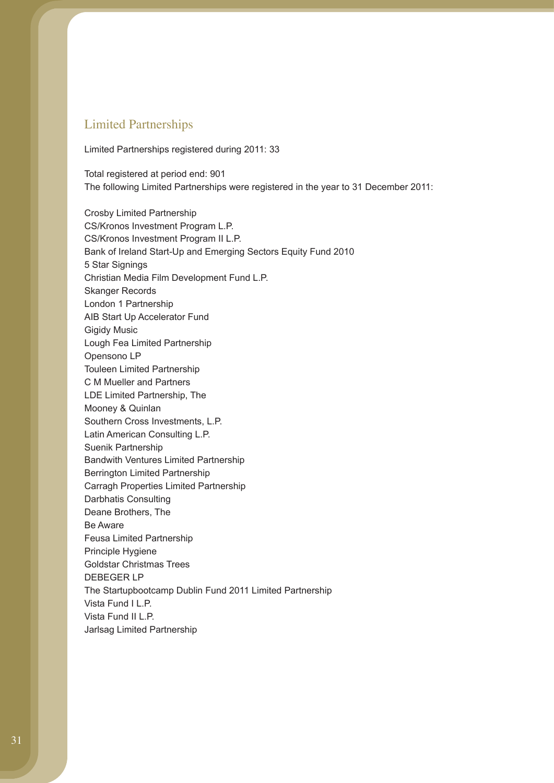## Limited Partnerships

Limited Partnerships registered during 2011: 33

Total registered at period end: 901 The following Limited Partnerships were registered in the year to 31 December 2011:

Crosby Limited Partnership CS/Kronos Investment Program L.P. CS/Kronos Investment Program II L.P. Bank of Ireland Start-Up and Emerging Sectors Equity Fund 2010 5 Star Signings Christian Media Film Development Fund L.P. Skanger Records London 1 Partnership AIB Start Up Accelerator Fund Gigidy Music Lough Fea Limited Partnership Opensono LP Touleen Limited Partnership C M Mueller and Partners LDE Limited Partnership, The Mooney & Quinlan Southern Cross Investments, L.P. Latin American Consulting L.P. Suenik Partnership Bandwith Ventures Limited Partnership Berrington Limited Partnership Carragh Properties Limited Partnership Darbhatis Consulting Deane Brothers, The Be Aware Feusa Limited Partnership Principle Hygiene Goldstar Christmas Trees DEBEGER LP The Startupbootcamp Dublin Fund 2011 Limited Partnership Vista Fund I L.P. Vista Fund II L.P. Jarlsag Limited Partnership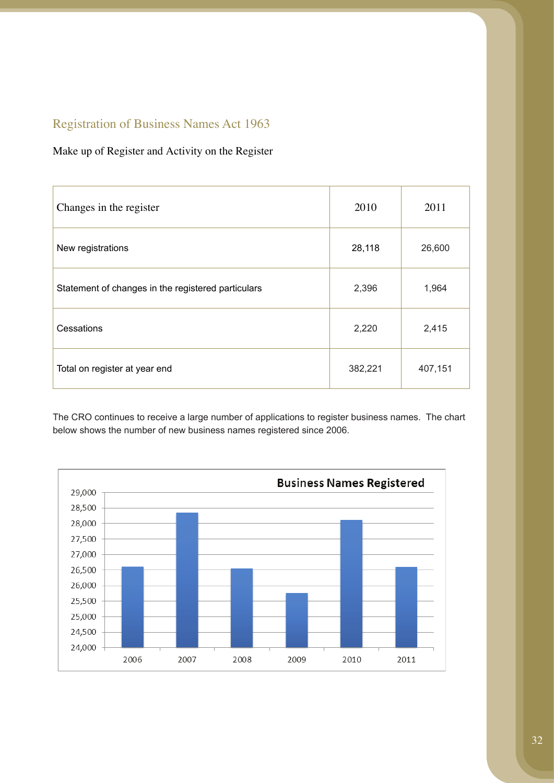# Registration of Business Names Act 1963

## Make up of Register and Activity on the Register

| Changes in the register                            | 2010    | 2011    |
|----------------------------------------------------|---------|---------|
| New registrations                                  | 28,118  | 26,600  |
| Statement of changes in the registered particulars | 2,396   | 1,964   |
| Cessations                                         | 2,220   | 2,415   |
| Total on register at year end                      | 382,221 | 407,151 |

The CRO continues to receive a large number of applications to register business names. The chart below shows the number of new business names registered since 2006.

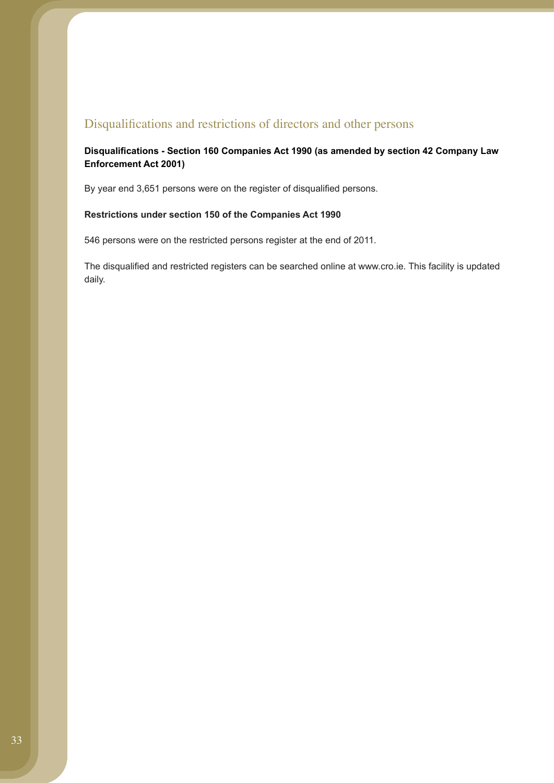## Disqualifications and restrictions of directors and other persons

### **Disqualifications - Section 160 Companies Act 1990 (as amended by section 42 Company Law Enforcement Act 2001)**

By year end 3,651 persons were on the register of disqualified persons.

#### **Restrictions under section 150 of the Companies Act 1990**

546 persons were on the restricted persons register at the end of 2011.

The disqualified and restricted registers can be searched online at www.cro.ie. This facility is updated daily.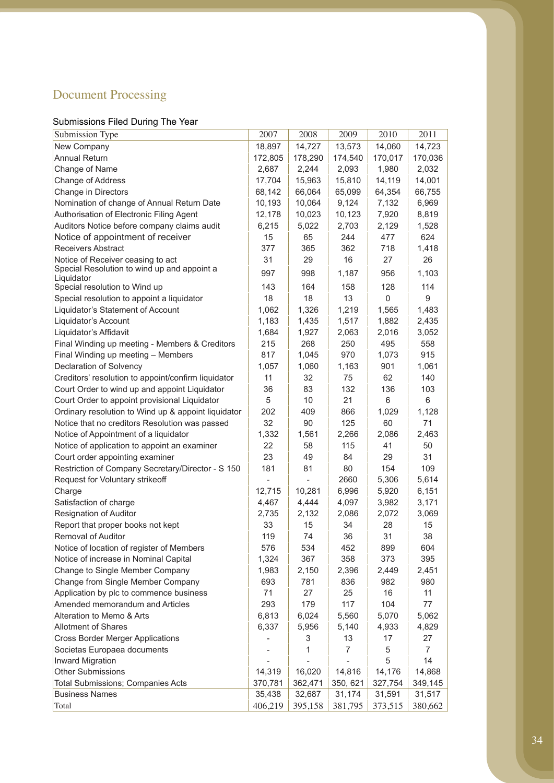# Document Processing

# Submissions Filed During The Year

| Submission Type                                     | 2007    | 2008    | 2009     | 2010    | 2011    |
|-----------------------------------------------------|---------|---------|----------|---------|---------|
| New Company                                         | 18,897  | 14,727  | 13,573   | 14,060  | 14,723  |
| <b>Annual Return</b>                                | 172,805 | 178,290 | 174,540  | 170,017 | 170,036 |
| Change of Name                                      | 2,687   | 2,244   | 2,093    | 1,980   | 2,032   |
| Change of Address                                   | 17,704  | 15,963  | 15,810   | 14,119  | 14,001  |
| Change in Directors                                 | 68,142  | 66,064  | 65,099   | 64,354  | 66,755  |
| Nomination of change of Annual Return Date          | 10,193  | 10,064  | 9,124    | 7,132   | 6,969   |
| Authorisation of Electronic Filing Agent            | 12,178  | 10,023  | 10,123   | 7,920   | 8,819   |
| Auditors Notice before company claims audit         | 6,215   | 5,022   | 2,703    | 2,129   | 1,528   |
| Notice of appointment of receiver                   | 15      | 65      | 244      | 477     | 624     |
| <b>Receivers Abstract</b>                           | 377     | 365     | 362      | 718     | 1,418   |
| Notice of Receiver ceasing to act                   | 31      | 29      | 16       | 27      | 26      |
| Special Resolution to wind up and appoint a         | 997     | 998     | 1,187    | 956     | 1,103   |
| Liquidator                                          |         |         |          |         |         |
| Special resolution to Wind up                       | 143     | 164     | 158      | 128     | 114     |
| Special resolution to appoint a liquidator          | 18      | 18      | 13       | 0       | 9       |
| Liquidator's Statement of Account                   | 1,062   | 1,326   | 1,219    | 1,565   | 1,483   |
| Liquidator's Account                                | 1,183   | 1,435   | 1,517    | 1,882   | 2,435   |
| Liquidator's Affidavit                              | 1,684   | 1,927   | 2,063    | 2,016   | 3,052   |
| Final Winding up meeting - Members & Creditors      | 215     | 268     | 250      | 495     | 558     |
| Final Winding up meeting - Members                  | 817     | 1,045   | 970      | 1,073   | 915     |
| Declaration of Solvency                             | 1,057   | 1,060   | 1,163    | 901     | 1,061   |
| Creditors' resolution to appoint/confirm liquidator | 11      | 32      | 75       | 62      | 140     |
| Court Order to wind up and appoint Liquidator       | 36      | 83      | 132      | 136     | 103     |
| Court Order to appoint provisional Liquidator       | 5       | 10      | 21       | 6       | 6       |
| Ordinary resolution to Wind up & appoint liquidator | 202     | 409     | 866      | 1,029   | 1,128   |
| Notice that no creditors Resolution was passed      | 32      | 90      | 125      | 60      | 71      |
| Notice of Appointment of a liquidator               | 1,332   | 1,561   | 2,266    | 2,086   | 2,463   |
| Notice of application to appoint an examiner        | 22      | 58      | 115      | 41      | 50      |
| Court order appointing examiner                     | 23      | 49      | 84       | 29      | 31      |
| Restriction of Company Secretary/Director - S 150   | 181     | 81      | 80       | 154     | 109     |
| Request for Voluntary strikeoff                     |         |         | 2660     | 5,306   | 5,614   |
| Charge                                              | 12,715  | 10,281  | 6,996    | 5,920   | 6,151   |
| Satisfaction of charge                              | 4,467   | 4,444   | 4,097    | 3,982   | 3,171   |
| <b>Resignation of Auditor</b>                       | 2,735   | 2,132   | 2,086    | 2,072   | 3,069   |
| Report that proper books not kept                   | 33      | 15      | 34       | 28      | 15      |
| Removal of Auditor                                  | 119     | 74      | 36       | 31      | 38      |
| Notice of location of register of Members           | 576     | 534     | 452      | 899     | 604     |
| Notice of increase in Nominal Capital               | 1,324   | 367     | 358      | 373     | 395     |
| Change to Single Member Company                     | 1,983   | 2,150   | 2,396    | 2,449   | 2,451   |
| Change from Single Member Company                   | 693     | 781     | 836      | 982     | 980     |
| Application by plc to commence business             | 71      | 27      | 25       | 16      | 11      |
| Amended memorandum and Articles                     | 293     | 179     | 117      | 104     | 77      |
| Alteration to Memo & Arts                           | 6,813   | 6,024   | 5,560    | 5,070   | 5,062   |
| <b>Allotment of Shares</b>                          | 6,337   | 5,956   | 5,140    | 4,933   | 4,829   |
| <b>Cross Border Merger Applications</b>             |         | 3       | 13       | 17      | 27      |
| Societas Europaea documents                         |         | 1       | 7        | 5       | 7       |
| <b>Inward Migration</b>                             |         |         |          | 5       | 14      |
| <b>Other Submissions</b>                            | 14,319  | 16,020  | 14,816   | 14,176  | 14,868  |
| <b>Total Submissions; Companies Acts</b>            | 370,781 | 362,471 | 350, 621 | 327,754 | 349,145 |
| <b>Business Names</b>                               | 35,438  | 32,687  | 31,174   | 31,591  | 31,517  |
| Total                                               | 406,219 | 395,158 | 381,795  | 373,515 | 380,662 |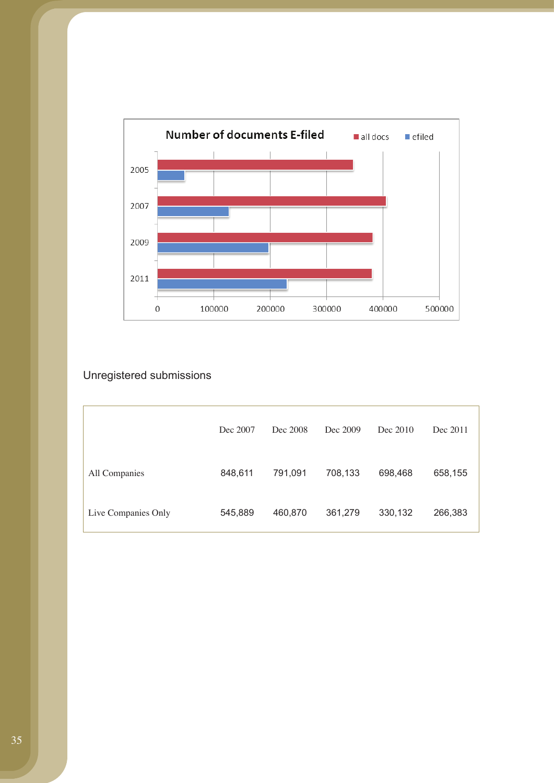

# Unregistered submissions

|                     | Dec 2007 | Dec 2008 | Dec 2009 | Dec 2010 | Dec 2011 |
|---------------------|----------|----------|----------|----------|----------|
| All Companies       | 848,611  | 791,091  | 708,133  | 698,468  | 658,155  |
| Live Companies Only | 545,889  | 460,870  | 361,279  | 330,132  | 266,383  |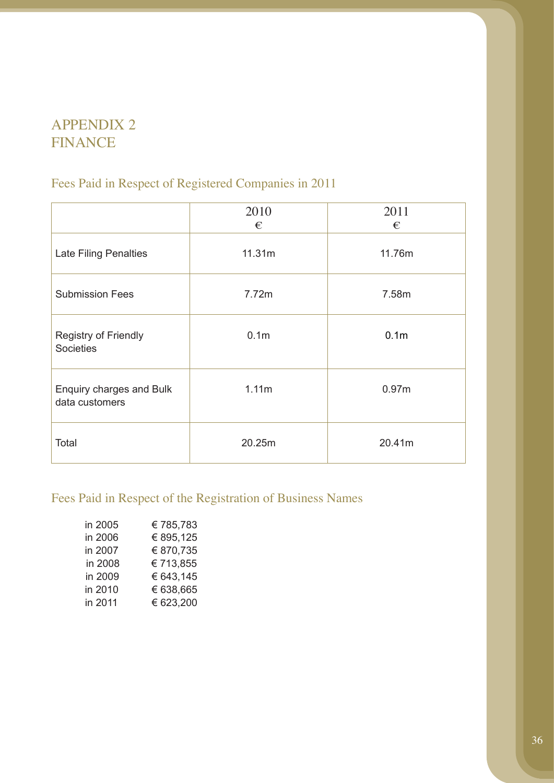# APPENDIX 2 FINANCE

# Fees Paid in Respect of Registered Companies in 2011

|                                                 | 2010<br>€        | 2011<br>€         |
|-------------------------------------------------|------------------|-------------------|
| <b>Late Filing Penalties</b>                    | 11.31m           | 11.76m            |
| <b>Submission Fees</b>                          | 7.72m            | 7.58m             |
| <b>Registry of Friendly</b><br><b>Societies</b> | 0.1 <sub>m</sub> | 0.1 <sub>m</sub>  |
| Enquiry charges and Bulk<br>data customers      | 1.11m            | 0.97 <sub>m</sub> |
| Total                                           | 20.25m           | 20.41m            |

# Fees Paid in Respect of the Registration of Business Names

| in 2005 | €785,783  |
|---------|-----------|
| in 2006 | € 895,125 |
| in 2007 | € 870,735 |
| in 2008 | €713,855  |
| in 2009 | € 643,145 |
| in 2010 | € 638,665 |
| in 2011 | € 623,200 |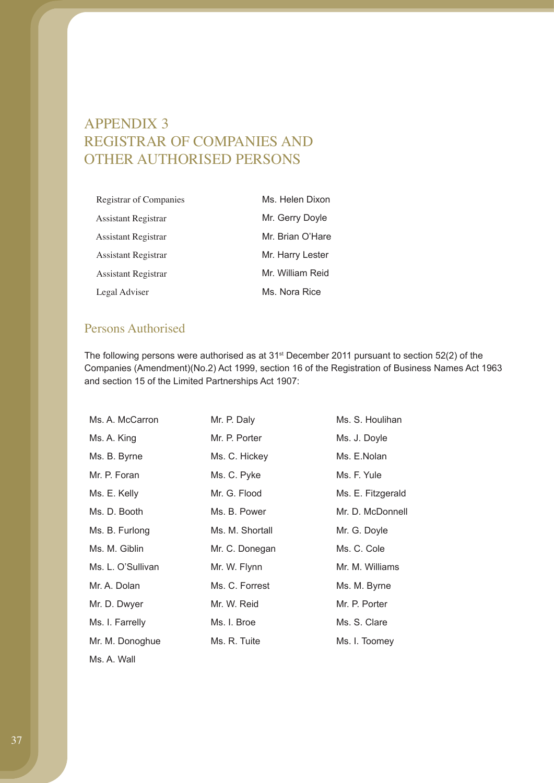# APPENDIX 3 REGISTRAR OF COMPANIES AND OTHER AUTHORISED PERSONS

| Registrar of Companies | Ms. Helen Dixon  |
|------------------------|------------------|
| Assistant Registrar    | Mr. Gerry Doyle  |
| Assistant Registrar    | Mr. Brian O'Hare |
| Assistant Registrar    | Mr. Harry Lester |
| Assistant Registrar    | Mr. William Reid |
| Legal Adviser          | Ms. Nora Rice    |

## Persons Authorised

The following persons were authorised as at 31st December 2011 pursuant to section 52(2) of the Companies (Amendment)(No.2) Act 1999, section 16 of the Registration of Business Names Act 1963 and section 15 of the Limited Partnerships Act 1907:

| Ms. A. McCarron   | Mr. P. Daly     | Ms. S. Houlihan   |
|-------------------|-----------------|-------------------|
| Ms. A. King       | Mr. P. Porter   | Ms. J. Doyle      |
| Ms. B. Byrne      | Ms. C. Hickey   | Ms. E.Nolan       |
| Mr. P. Foran      | Ms. C. Pyke     | Ms. F. Yule       |
| Ms. E. Kelly      | Mr. G. Flood    | Ms. E. Fitzgerald |
| Ms. D. Booth      | Ms. B. Power    | Mr. D. McDonnell  |
| Ms. B. Furlong    | Ms. M. Shortall | Mr. G. Doyle      |
| Ms. M. Giblin     | Mr. C. Donegan  | Ms. C. Cole       |
| Ms. L. O'Sullivan | Mr. W. Flynn    | Mr. M. Williams   |
| Mr. A. Dolan      | Ms. C. Forrest  | Ms. M. Byrne      |
| Mr. D. Dwyer      | Mr. W. Reid     | Mr. P. Porter     |
| Ms. I. Farrelly   | Ms. I. Broe     | Ms. S. Clare      |
| Mr. M. Donoghue   | Ms. R. Tuite    | Ms. I. Toomey     |
|                   |                 |                   |

Ms. A. Wall